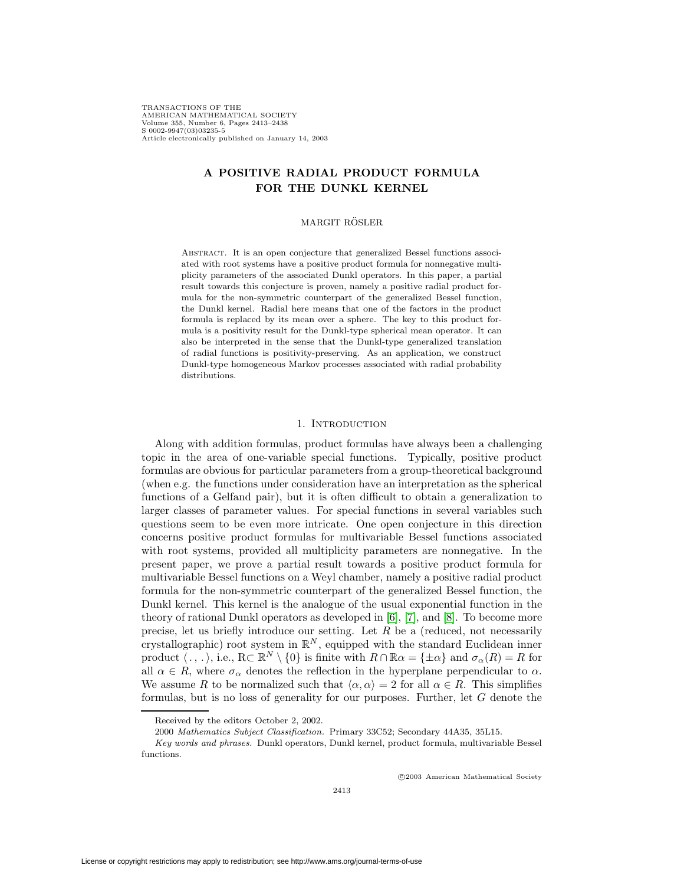TRANSACTIONS OF THE AMERICAN MATHEMATICAL SOCIETY Volume 355, Number 6, Pages 2413–2438 S 0002-9947(03)03235-5 Article electronically published on January 14, 2003

# **A POSITIVE RADIAL PRODUCT FORMULA FOR THE DUNKL KERNEL**

#### MARGIT RÖSLER

Abstract. It is an open conjecture that generalized Bessel functions associated with root systems have a positive product formula for nonnegative multiplicity parameters of the associated Dunkl operators. In this paper, a partial result towards this conjecture is proven, namely a positive radial product formula for the non-symmetric counterpart of the generalized Bessel function, the Dunkl kernel. Radial here means that one of the factors in the product formula is replaced by its mean over a sphere. The key to this product formula is a positivity result for the Dunkl-type spherical mean operator. It can also be interpreted in the sense that the Dunkl-type generalized translation of radial functions is positivity-preserving. As an application, we construct Dunkl-type homogeneous Markov processes associated with radial probability distributions.

#### 1. INTRODUCTION

Along with addition formulas, product formulas have always been a challenging topic in the area of one-variable special functions. Typically, positive product formulas are obvious for particular parameters from a group-theoretical background (when e.g. the functions under consideration have an interpretation as the spherical functions of a Gelfand pair), but it is often difficult to obtain a generalization to larger classes of parameter values. For special functions in several variables such questions seem to be even more intricate. One open conjecture in this direction concerns positive product formulas for multivariable Bessel functions associated with root systems, provided all multiplicity parameters are nonnegative. In the present paper, we prove a partial result towards a positive product formula for multivariable Bessel functions on a Weyl chamber, namely a positive radial product formula for the non-symmetric counterpart of the generalized Bessel function, the Dunkl kernel. This kernel is the analogue of the usual exponential function in the theory of rational Dunkl operators as developed in [\[6\]](#page-24-0), [\[7\]](#page-24-1), and [\[8\]](#page-24-2). To become more precise, let us briefly introduce our setting. Let  $R$  be a (reduced, not necessarily crystallographic) root system in  $\mathbb{R}^N$ , equipped with the standard Euclidean inner product  $\langle ., .\rangle$ , i.e.,  $R\subset \mathbb{R}^N\setminus\{0\}$  is finite with  $R\cap \mathbb{R}\alpha = {\pm \alpha}$  and  $\sigma_\alpha(R) = R$  for all  $\alpha \in R$ , where  $\sigma_{\alpha}$  denotes the reflection in the hyperplane perpendicular to  $\alpha$ . We assume R to be normalized such that  $\langle \alpha, \alpha \rangle = 2$  for all  $\alpha \in R$ . This simplifies formulas, but is no loss of generality for our purposes. Further, let G denote the

c 2003 American Mathematical Society

Received by the editors October 2, 2002.

<sup>2000</sup> Mathematics Subject Classification. Primary 33C52; Secondary 44A35, 35L15.

Key words and phrases. Dunkl operators, Dunkl kernel, product formula, multivariable Bessel functions.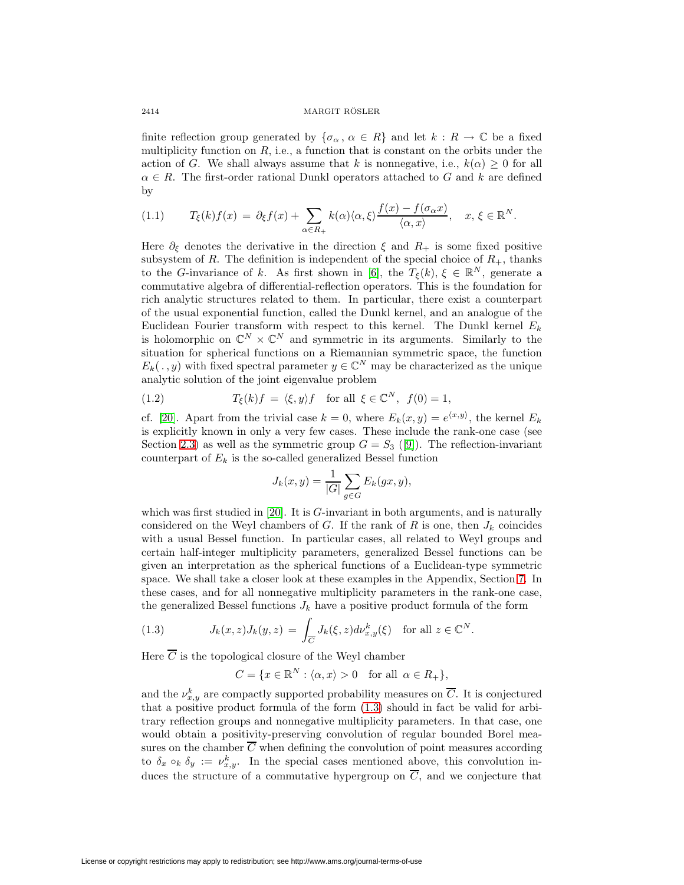$\rm MARGIT~RÖSLER$ 

finite reflection group generated by  $\{\sigma_{\alpha}, \alpha \in R\}$  and let  $k : R \to \mathbb{C}$  be a fixed multiplicity function on  $R$ , i.e., a function that is constant on the orbits under the action of G. We shall always assume that k is nonnegative, i.e.,  $k(\alpha) \geq 0$  for all  $\alpha \in R$ . The first-order rational Dunkl operators attached to G and k are defined by

<span id="page-1-1"></span>(1.1) 
$$
T_{\xi}(k)f(x) = \partial_{\xi}f(x) + \sum_{\alpha \in R_{+}} k(\alpha)\langle \alpha, \xi \rangle \frac{f(x) - f(\sigma_{\alpha}x)}{\langle \alpha, x \rangle}, \quad x, \xi \in \mathbb{R}^{N}.
$$

Here  $\partial_{\xi}$  denotes the derivative in the direction  $\xi$  and  $R_{+}$  is some fixed positive subsystem of R. The definition is independent of the special choice of  $R_+$ , thanks to the G-invariance of k. As first shown in [\[6\]](#page-24-0), the  $T_{\xi}(k)$ ,  $\xi \in \mathbb{R}^{N}$ , generate a commutative algebra of differential-reflection operators. This is the foundation for rich analytic structures related to them. In particular, there exist a counterpart of the usual exponential function, called the Dunkl kernel, and an analogue of the Euclidean Fourier transform with respect to this kernel. The Dunkl kernel  $E_k$ is holomorphic on  $\mathbb{C}^N \times \mathbb{C}^N$  and symmetric in its arguments. Similarly to the situation for spherical functions on a Riemannian symmetric space, the function  $E_k(.,y)$  with fixed spectral parameter  $y \in \mathbb{C}^N$  may be characterized as the unique analytic solution of the joint eigenvalue problem

(1.2) 
$$
T_{\xi}(k)f = \langle \xi, y \rangle f \text{ for all } \xi \in \mathbb{C}^{N}, f(0) = 1,
$$

cf. [\[20\]](#page-24-3). Apart from the trivial case  $k = 0$ , where  $E_k(x, y) = e^{\langle x, y \rangle}$ , the kernel  $E_k$ is explicitly known in only a very few cases. These include the rank-one case (see Section [2.3\)](#page-8-0) as well as the symmetric group  $G = S_3$  ([\[9\]](#page-24-4)). The reflection-invariant counterpart of  $E_k$  is the so-called generalized Bessel function

<span id="page-1-2"></span><span id="page-1-0"></span>
$$
J_k(x,y) = \frac{1}{|G|} \sum_{g \in G} E_k(gx, y),
$$

which was first studied in  $[20]$ . It is G-invariant in both arguments, and is naturally considered on the Weyl chambers of G. If the rank of R is one, then  $J_k$  coincides with a usual Bessel function. In particular cases, all related to Weyl groups and certain half-integer multiplicity parameters, generalized Bessel functions can be given an interpretation as the spherical functions of a Euclidean-type symmetric space. We shall take a closer look at these examples in the Appendix, Section [7.](#page-22-0) In these cases, and for all nonnegative multiplicity parameters in the rank-one case, the generalized Bessel functions  $J_k$  have a positive product formula of the form

(1.3) 
$$
J_k(x, z)J_k(y, z) = \int_{\overline{C}} J_k(\xi, z)d\nu_{x,y}^k(\xi) \text{ for all } z \in \mathbb{C}^N.
$$

Here  $\overline{C}$  is the topological closure of the Weyl chamber

$$
C = \{ x \in \mathbb{R}^N : \langle \alpha, x \rangle > 0 \quad \text{for all } \alpha \in R_+ \},
$$

and the  $\nu_{x,y}^k$  are compactly supported probability measures on  $\overline{C}$ . It is conjectured that a positive product formula of the form [\(1.3\)](#page-1-0) should in fact be valid for arbitrary reflection groups and nonnegative multiplicity parameters. In that case, one would obtain a positivity-preserving convolution of regular bounded Borel measures on the chamber  $\overline{C}$  when defining the convolution of point measures according to  $\delta_x \circ_k \delta_y := v_{x,y}^k$ . In the special cases mentioned above, this convolution induces the structure of a commutative hypergroup on  $\overline{C}$ , and we conjecture that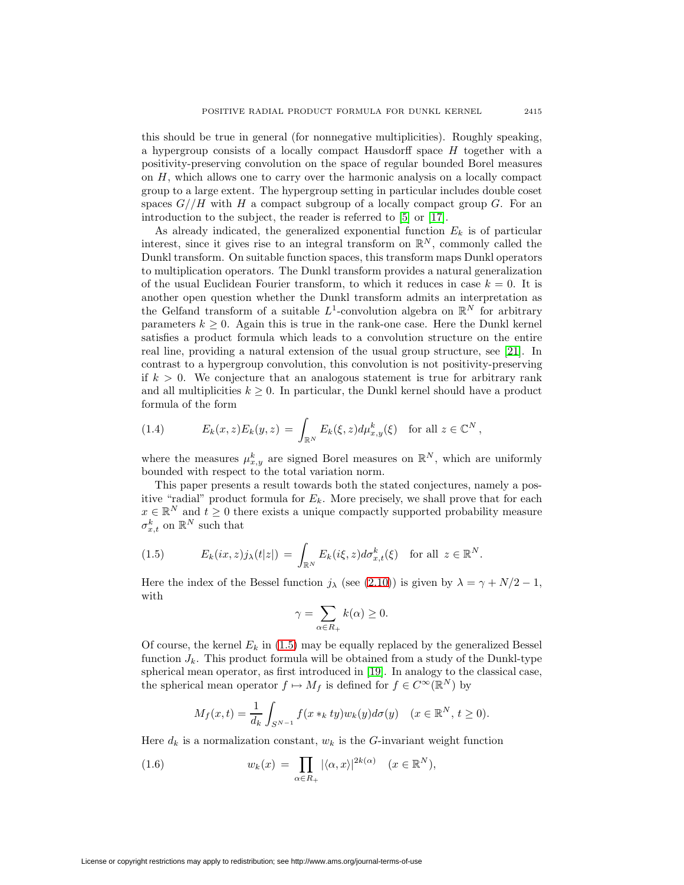this should be true in general (for nonnegative multiplicities). Roughly speaking, a hypergroup consists of a locally compact Hausdorff space H together with a positivity-preserving convolution on the space of regular bounded Borel measures on H, which allows one to carry over the harmonic analysis on a locally compact group to a large extent. The hypergroup setting in particular includes double coset spaces  $G//H$  with H a compact subgroup of a locally compact group G. For an introduction to the subject, the reader is referred to [\[5\]](#page-24-5) or [\[17\]](#page-24-6).

As already indicated, the generalized exponential function  $E_k$  is of particular interest, since it gives rise to an integral transform on  $\mathbb{R}^N$ , commonly called the Dunkl transform. On suitable function spaces, this transform maps Dunkl operators to multiplication operators. The Dunkl transform provides a natural generalization of the usual Euclidean Fourier transform, to which it reduces in case  $k = 0$ . It is another open question whether the Dunkl transform admits an interpretation as the Gelfand transform of a suitable  $L^1$ -convolution algebra on  $\mathbb{R}^N$  for arbitrary parameters  $k > 0$ . Again this is true in the rank-one case. Here the Dunkl kernel satisfies a product formula which leads to a convolution structure on the entire real line, providing a natural extension of the usual group structure, see [\[21\]](#page-24-7). In contrast to a hypergroup convolution, this convolution is not positivity-preserving if  $k > 0$ . We conjecture that an analogous statement is true for arbitrary rank and all multiplicities  $k \geq 0$ . In particular, the Dunkl kernel should have a product formula of the form

<span id="page-2-2"></span>(1.4) 
$$
E_k(x,z)E_k(y,z) = \int_{\mathbb{R}^N} E_k(\xi,z)d\mu_{x,y}^k(\xi) \text{ for all } z \in \mathbb{C}^N,
$$

where the measures  $\mu^k_{x,y}$  are signed Borel measures on  $\mathbb{R}^N$ , which are uniformly bounded with respect to the total variation norm.

This paper presents a result towards both the stated conjectures, namely a positive "radial" product formula for  $E_k$ . More precisely, we shall prove that for each  $x \in \mathbb{R}^N$  and  $t \geq 0$  there exists a unique compactly supported probability measure  $\sigma_{x,t}^k$  on  $\mathbb{R}^N$  such that

<span id="page-2-0"></span>(1.5) 
$$
E_k(ix, z)j_\lambda(t|z|) = \int_{\mathbb{R}^N} E_k(i\xi, z)d\sigma_{x,t}^k(\xi) \text{ for all } z \in \mathbb{R}^N.
$$

Here the index of the Bessel function  $j_{\lambda}$  (see [\(2.10\)](#page-7-0)) is given by  $\lambda = \gamma + N/2 - 1$ , with

<span id="page-2-1"></span>
$$
\gamma = \sum_{\alpha \in R_+} k(\alpha) \ge 0.
$$

Of course, the kernel  $E_k$  in [\(1.5\)](#page-2-0) may be equally replaced by the generalized Bessel function  $J_k$ . This product formula will be obtained from a study of the Dunkl-type spherical mean operator, as first introduced in [\[19\]](#page-24-8). In analogy to the classical case, the spherical mean operator  $f \mapsto M_f$  is defined for  $f \in C^{\infty}(\mathbb{R}^N)$  by

$$
M_f(x,t) = \frac{1}{d_k} \int_{S^{N-1}} f(x *_k ty) w_k(y) d\sigma(y) \quad (x \in \mathbb{R}^N, t \ge 0).
$$

Here  $d_k$  is a normalization constant,  $w_k$  is the G-invariant weight function

(1.6) 
$$
w_k(x) = \prod_{\alpha \in R_+} |\langle \alpha, x \rangle|^{2k(\alpha)} \quad (x \in \mathbb{R}^N),
$$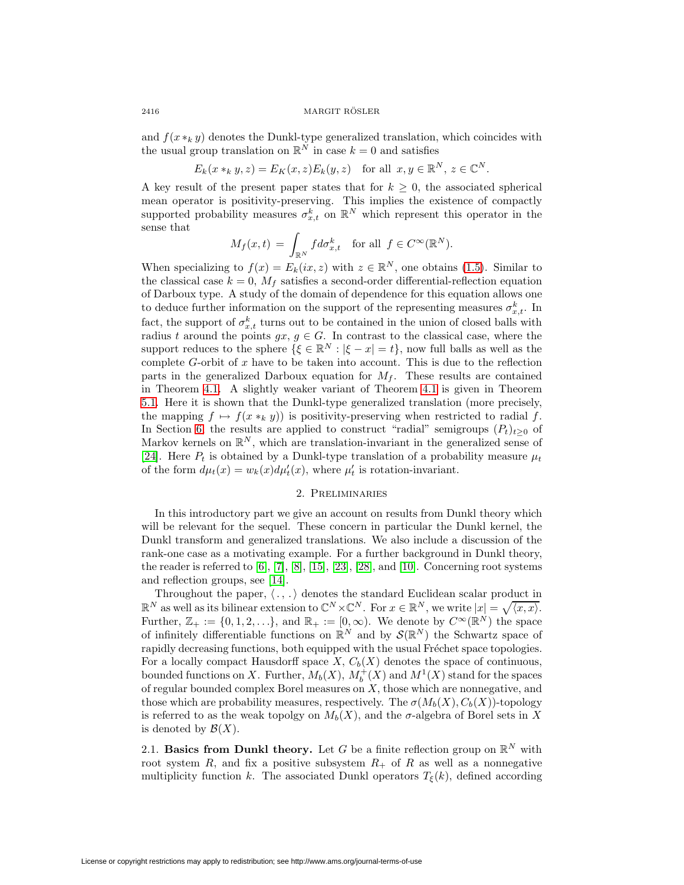$\rm MARGIT~RÖSLER$ 

and  $f(x *_{k} y)$  denotes the Dunkl-type generalized translation, which coincides with the usual group translation on  $\mathbb{R}^N$  in case  $k = 0$  and satisfies

$$
E_k(x *_k y, z) = E_K(x, z) E_k(y, z) \text{ for all } x, y \in \mathbb{R}^N, z \in \mathbb{C}^N.
$$

A key result of the present paper states that for  $k \geq 0$ , the associated spherical mean operator is positivity-preserving. This implies the existence of compactly supported probability measures  $\sigma_{x,t}^k$  on  $\mathbb{R}^N$  which represent this operator in the sense that

$$
M_f(x,t) = \int_{\mathbb{R}^N} f d\sigma_{x,t}^k \quad \text{for all } f \in C^\infty(\mathbb{R}^N).
$$

When specializing to  $f(x) = E_k(ix, z)$  with  $z \in \mathbb{R}^N$ , one obtains [\(1.5\)](#page-2-0). Similar to the classical case  $k = 0$ ,  $M_f$  satisfies a second-order differential-reflection equation of Darboux type. A study of the domain of dependence for this equation allows one to deduce further information on the support of the representing measures  $\sigma_{x,t}^k$ . In fact, the support of  $\sigma_{x,t}^k$  turns out to be contained in the union of closed balls with radius t around the points  $gx, g \in G$ . In contrast to the classical case, where the support reduces to the sphere  $\{\xi \in \mathbb{R}^N : |\xi - x| = t\}$ , now full balls as well as the complete  $G$ -orbit of  $x$  have to be taken into account. This is due to the reflection parts in the generalized Darboux equation for  $M_f$ . These results are contained in Theorem [4.1.](#page-12-0) A slightly weaker variant of Theorem [4.1](#page-12-0) is given in Theorem [5.1.](#page-16-0) Here it is shown that the Dunkl-type generalized translation (more precisely, the mapping  $f \mapsto f(x *_{k} y)$  is positivity-preserving when restricted to radial f. In Section [6,](#page-17-0) the results are applied to construct "radial" semigroups  $(P_t)_{t>0}$  of Markov kernels on  $\mathbb{R}^N$ , which are translation-invariant in the generalized sense of [\[24\]](#page-24-9). Here  $P_t$  is obtained by a Dunkl-type translation of a probability measure  $\mu_t$ of the form  $d\mu_t(x) = w_k(x)d\mu'_t(x)$ , where  $\mu'_t$  is rotation-invariant.

## 2. Preliminaries

In this introductory part we give an account on results from Dunkl theory which will be relevant for the sequel. These concern in particular the Dunkl kernel, the Dunkl transform and generalized translations. We also include a discussion of the rank-one case as a motivating example. For a further background in Dunkl theory, the reader is referred to  $[6]$ ,  $[7]$ ,  $[8]$ ,  $[15]$ ,  $[23]$ ,  $[28]$ , and  $[10]$ . Concerning root systems and reflection groups, see [\[14\]](#page-24-13).

Throughout the paper,  $\langle ., . \rangle$  denotes the standard Euclidean scalar product in  $\mathbb{R}^N$  as well as its bilinear extension to  $\mathbb{C}^N\times\mathbb{C}^N$ . For  $x\in\mathbb{R}^N$ , we write  $|x|=\sqrt{\langle x,x\rangle}$ . Further,  $\mathbb{Z}_+ := \{0, 1, 2, \ldots\}$ , and  $\mathbb{R}_+ := [0, \infty)$ . We denote by  $C^{\infty}(\mathbb{R}^N)$  the space of infinitely differentiable functions on  $\mathbb{R}^N$  and by  $\mathcal{S}(\mathbb{R}^N)$  the Schwartz space of rapidly decreasing functions, both equipped with the usual Fréchet space topologies. For a locally compact Hausdorff space  $X, C_b(X)$  denotes the space of continuous, bounded functions on X. Further,  $M_b(X)$ ,  $M_b^+(X)$  and  $M^1(X)$  stand for the spaces of regular bounded complex Borel measures on X, those which are nonnegative, and those which are probability measures, respectively. The  $\sigma(M_b(X), C_b(X))$ -topology is referred to as the weak topolgy on  $M_b(X)$ , and the  $\sigma$ -algebra of Borel sets in X is denoted by  $\mathcal{B}(X)$ .

2.1. **Basics from Dunkl theory.** Let G be a finite reflection group on  $\mathbb{R}^N$  with root system R, and fix a positive subsystem  $R_+$  of R as well as a nonnegative multiplicity function k. The associated Dunkl operators  $T_{\xi}(k)$ , defined according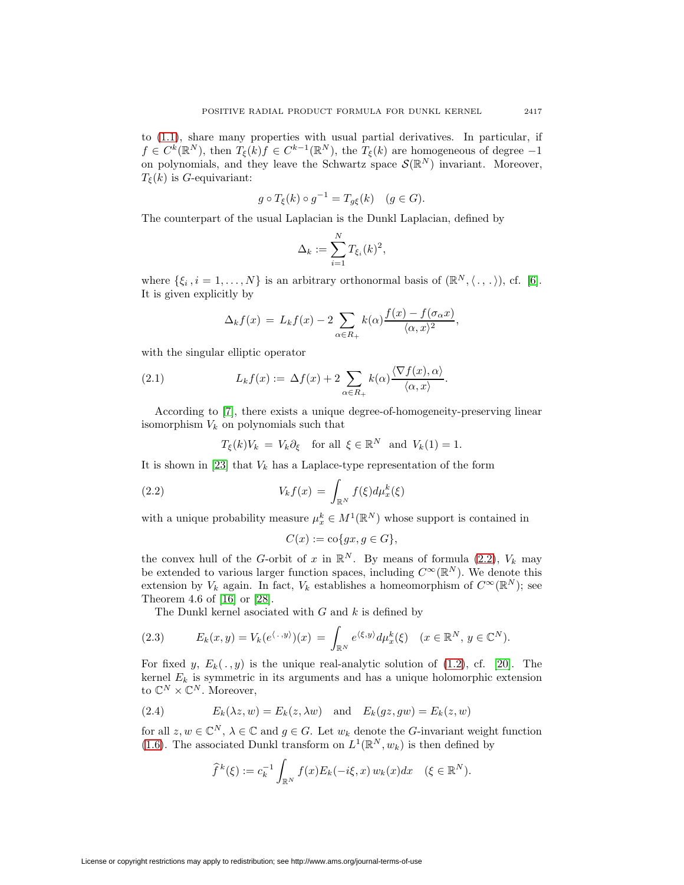to [\(1.1\)](#page-1-1), share many properties with usual partial derivatives. In particular, if  $f \in C^k(\mathbb{R}^N)$ , then  $T_{\xi}(k) f \in C^{k-1}(\mathbb{R}^N)$ , the  $T_{\xi}(k)$  are homogeneous of degree  $-1$ on polynomials, and they leave the Schwartz space  $\mathcal{S}(\mathbb{R}^N)$  invariant. Moreover,  $T_{\xi}(k)$  is G-equivariant:

$$
g \circ T_{\xi}(k) \circ g^{-1} = T_{g\xi}(k) \quad (g \in G).
$$

The counterpart of the usual Laplacian is the Dunkl Laplacian, defined by

$$
\Delta_k := \sum_{i=1}^N T_{\xi_i}(k)^2,
$$

where  $\{\xi_i, i = 1,\ldots,N\}$  is an arbitrary orthonormal basis of  $(\mathbb{R}^N, \langle \ldots \rangle)$ , cf. [\[6\]](#page-24-0). It is given explicitly by

<span id="page-4-2"></span>
$$
\Delta_k f(x) = L_k f(x) - 2 \sum_{\alpha \in R_+} k(\alpha) \frac{f(x) - f(\sigma_\alpha x)}{\langle \alpha, x \rangle^2},
$$

with the singular elliptic operator

(2.1) 
$$
L_k f(x) := \Delta f(x) + 2 \sum_{\alpha \in R_+} k(\alpha) \frac{\langle \nabla f(x), \alpha \rangle}{\langle \alpha, x \rangle}.
$$

According to [\[7\]](#page-24-1), there exists a unique degree-of-homogeneity-preserving linear isomorphism  $V_k$  on polynomials such that

$$
T_{\xi}(k)V_k = V_k \partial_{\xi}
$$
 for all  $\xi \in \mathbb{R}^N$  and  $V_k(1) = 1$ .

It is shown in [\[23\]](#page-24-11) that  $V_k$  has a Laplace-type representation of the form

(2.2) 
$$
V_k f(x) = \int_{\mathbb{R}^N} f(\xi) d\mu_x^k(\xi)
$$

with a unique probability measure  $\mu_x^k \in M^1(\mathbb{R}^N)$  whose support is contained in

<span id="page-4-1"></span><span id="page-4-0"></span>
$$
C(x) := \text{co}\{gx, g \in G\},\
$$

the convex hull of the G-orbit of x in  $\mathbb{R}^N$ . By means of formula [\(2.2\)](#page-4-0),  $V_k$  may be extended to various larger function spaces, including  $C^{\infty}(\mathbb{R}^{N})$ . We denote this extension by  $V_k$  again. In fact,  $V_k$  establishes a homeomorphism of  $C^{\infty}(\mathbb{R}^N)$ ; see Theorem 4.6 of [\[16\]](#page-24-14) or [\[28\]](#page-25-0).

The Dunkl kernel associated with  $G$  and  $k$  is defined by

(2.3) 
$$
E_k(x,y) = V_k(e^{\langle \cdot, y \rangle})(x) = \int_{\mathbb{R}^N} e^{\langle \xi, y \rangle} d\mu_x^k(\xi) \quad (x \in \mathbb{R}^N, y \in \mathbb{C}^N).
$$

For fixed y,  $E_k(.,y)$  is the unique real-analytic solution of [\(1.2\)](#page-1-2), cf. [\[20\]](#page-24-3). The kernel  $E_k$  is symmetric in its arguments and has a unique holomorphic extension to  $\mathbb{C}^N\times\mathbb{C}^N$ . Moreover,

<span id="page-4-3"></span>(2.4) 
$$
E_k(\lambda z, w) = E_k(z, \lambda w) \text{ and } E_k(gz, gw) = E_k(z, w)
$$

for all  $z, w \in \mathbb{C}^N$ ,  $\lambda \in \mathbb{C}$  and  $g \in G$ . Let  $w_k$  denote the G-invariant weight function [\(1.6\)](#page-2-1). The associated Dunkl transform on  $L^1(\mathbb{R}^N, w_k)$  is then defined by

$$
\widehat{f}^k(\xi) := c_k^{-1} \int_{\mathbb{R}^N} f(x) E_k(-i\xi, x) w_k(x) dx \quad (\xi \in \mathbb{R}^N).
$$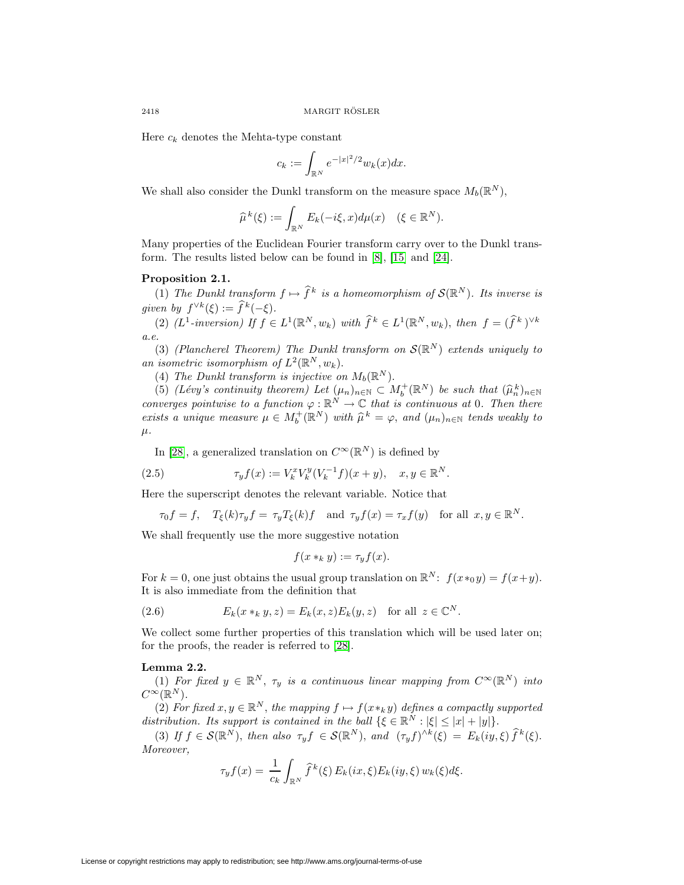Here  $c_k$  denotes the Mehta-type constant

$$
c_k := \int_{\mathbb{R}^N} e^{-|x|^2/2} w_k(x) dx.
$$

We shall also consider the Dunkl transform on the measure space  $M_b(\mathbb{R}^N)$ ,

$$
\widehat{\mu}^k(\xi) := \int_{\mathbb{R}^N} E_k(-i\xi, x) d\mu(x) \quad (\xi \in \mathbb{R}^N).
$$

<span id="page-5-3"></span>Many properties of the Euclidean Fourier transform carry over to the Dunkl transform. The results listed below can be found in [\[8\]](#page-24-2), [\[15\]](#page-24-10) and [\[24\]](#page-24-9).

# **Proposition 2.1.**

(1) The Dunkl transform  $f \mapsto \hat{f}^k$  is a homeomorphism of  $\mathcal{S}(\mathbb{R}^N)$ . Its inverse is given by  $f^{\vee k}(\xi) := \widehat{f}^k(-\xi)$ .

(2)  $(L^1\text{-}inversion)$  If  $f \in L^1(\mathbb{R}^N, w_k)$  with  $\hat{f}^k \in L^1(\mathbb{R}^N, w_k)$ , then  $f = (\hat{f}^k)^{\vee k}$ a.e.

(3) (Plancherel Theorem) The Dunkl transform on  $\mathcal{S}(\mathbb{R}^N)$  extends uniquely to an isometric isomorphism of  $L^2(\mathbb{R}^N, w_k)$ .

(4) The Dunkl transform is injective on  $M_b(\mathbb{R}^N)$ .

(5) (Lévy's continuity theorem) Let  $(\mu_n)_{n \in \mathbb{N}} \subset M_b^+(\mathbb{R}^N)$  be such that  $(\hat{\mu}_n^k)_{n \in \mathbb{N}}$ converges pointwise to a function  $\varphi : \mathbb{R}^N \to \mathbb{C}$  that is continuous at 0. Then there exists a unique measure  $\mu \in M_b^+(\mathbb{R}^N)$  with  $\widehat{\mu}^k = \varphi$ , and  $(\mu_n)_{n \in \mathbb{N}}$  tends weakly to  $\mu$ .

In [\[28\]](#page-25-0), a generalized translation on  $C^{\infty}(\mathbb{R}^N)$  is defined by

(2.5) 
$$
\tau_y f(x) := V_k^x V_k^y (V_k^{-1} f)(x + y), \quad x, y \in \mathbb{R}^N.
$$

Here the superscript denotes the relevant variable. Notice that

$$
\tau_0 f = f, \quad T_{\xi}(k)\tau_y f = \tau_y T_{\xi}(k)f \quad \text{and } \tau_y f(x) = \tau_x f(y) \quad \text{for all } x, y \in \mathbb{R}^N.
$$

We shall frequently use the more suggestive notation

<span id="page-5-2"></span><span id="page-5-0"></span>
$$
f(x *_{k} y) := \tau_{y} f(x).
$$

For  $k = 0$ , one just obtains the usual group translation on  $\mathbb{R}^{N}$ :  $f(x *_{0} y) = f(x + y)$ . It is also immediate from the definition that

(2.6) 
$$
E_k(x *_k y, z) = E_k(x, z) E_k(y, z) \text{ for all } z \in \mathbb{C}^N.
$$

<span id="page-5-1"></span>We collect some further properties of this translation which will be used later on; for the proofs, the reader is referred to [\[28\]](#page-25-0).

#### **Lemma 2.2.**

(1) For fixed  $y \in \mathbb{R}^N$ ,  $\tau_y$  is a continuous linear mapping from  $C^{\infty}(\mathbb{R}^N)$  into  $C^{\infty}(\mathbb{R}^N)$ .

(2) For fixed  $x, y \in \mathbb{R}^N$ , the mapping  $f \mapsto f(x *_{k} y)$  defines a compactly supported distribution. Its support is contained in the ball  $\{\xi \in \mathbb{R}^N : |\xi| \leq |x| + |y|\}.$ 

(3) If  $f \in \mathcal{S}(\mathbb{R}^N)$ , then also  $\tau_y f \in \mathcal{S}(\mathbb{R}^N)$ , and  $(\tau_y f)^{\wedge k}(\xi) = E_k(iy, \xi) \widehat{f}^k(\xi)$ . Moreover,

$$
\tau_y f(x) = \frac{1}{c_k} \int_{\mathbb{R}^N} \hat{f}^k(\xi) E_k(ix, \xi) E_k(iy, \xi) w_k(\xi) d\xi.
$$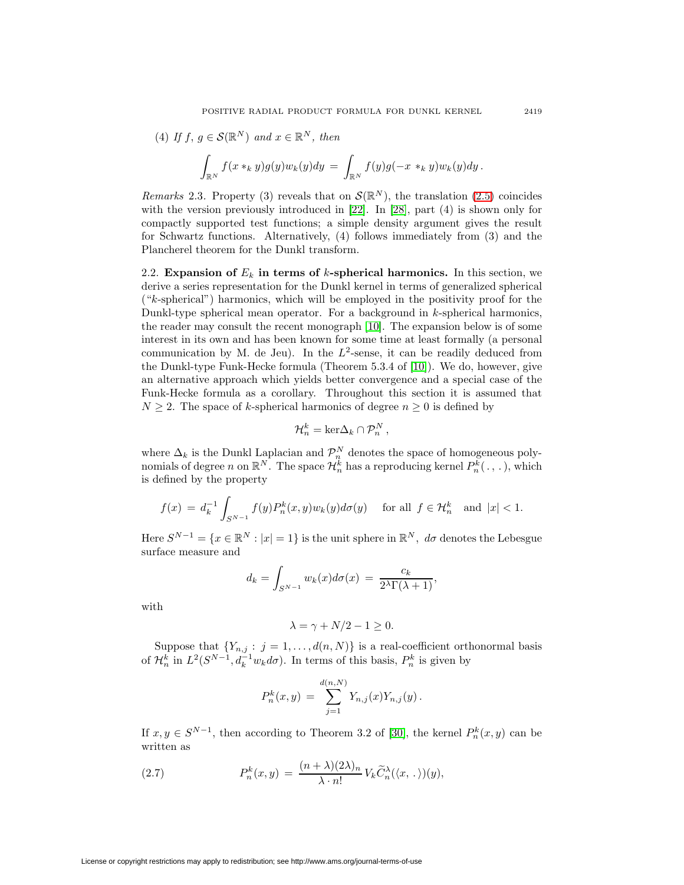(4) If 
$$
f, g \in \mathcal{S}(\mathbb{R}^N)
$$
 and  $x \in \mathbb{R}^N$ , then

$$
\int_{\mathbb{R}^N} f(x *_{k} y) g(y) w_{k}(y) dy = \int_{\mathbb{R}^N} f(y) g(-x *_{k} y) w_{k}(y) dy.
$$

Remarks 2.3. Property (3) reveals that on  $\mathcal{S}(\mathbb{R}^N)$ , the translation [\(2.5\)](#page-5-0) coincides with the version previously introduced in [\[22\]](#page-24-15). In [\[28\]](#page-25-0), part (4) is shown only for compactly supported test functions; a simple density argument gives the result for Schwartz functions. Alternatively, (4) follows immediately from (3) and the Plancherel theorem for the Dunkl transform.

2.2. **Expansion of**  $E_k$  in terms of k-spherical harmonics. In this section, we derive a series representation for the Dunkl kernel in terms of generalized spherical ("k-spherical") harmonics, which will be employed in the positivity proof for the Dunkl-type spherical mean operator. For a background in k-spherical harmonics, the reader may consult the recent monograph [\[10\]](#page-24-12). The expansion below is of some interest in its own and has been known for some time at least formally (a personal communication by M. de Jeu). In the  $L^2$ -sense, it can be readily deduced from the Dunkl-type Funk-Hecke formula (Theorem 5.3.4 of [\[10\]](#page-24-12)). We do, however, give an alternative approach which yields better convergence and a special case of the Funk-Hecke formula as a corollary. Throughout this section it is assumed that  $N \geq 2$ . The space of k-spherical harmonics of degree  $n \geq 0$  is defined by

$$
\mathcal{H}_n^k = \text{ker}\Delta_k \cap \mathcal{P}_n^N,
$$

where  $\Delta_k$  is the Dunkl Laplacian and  $\mathcal{P}_n^N$  denotes the space of homogeneous polynomials of degree n on  $\mathbb{R}^N$ . The space  $\mathcal{H}_n^k$  has a reproducing kernel  $P_n^k(., .),$  which is defined by the property

$$
f(x) = d_k^{-1} \int_{S^{N-1}} f(y) P_n^k(x, y) w_k(y) d\sigma(y) \quad \text{ for all } f \in \mathcal{H}_n^k \text{ and } |x| < 1.
$$

Here  $S^{N-1} = \{x \in \mathbb{R}^N : |x| = 1\}$  is the unit sphere in  $\mathbb{R}^N$ ,  $d\sigma$  denotes the Lebesgue surface measure and

$$
d_k = \int_{S^{N-1}} w_k(x) d\sigma(x) = \frac{c_k}{2^{\lambda} \Gamma(\lambda + 1)},
$$

with

$$
\lambda = \gamma + N/2 - 1 \ge 0.
$$

Suppose that  $\{Y_{n,j} : j = 1, \ldots, d(n, N)\}\$ is a real-coefficient orthonormal basis of  $\mathcal{H}_n^k$  in  $L^2(S^{N-1}, d_k^{-1}w_k d\sigma)$ . In terms of this basis,  $P_n^k$  is given by

$$
P_n^k(x,y) = \sum_{j=1}^{d(n,N)} Y_{n,j}(x) Y_{n,j}(y).
$$

<span id="page-6-0"></span>If  $x, y \in S^{N-1}$ , then according to Theorem 3.2 of [\[30\]](#page-25-1), the kernel  $P_n^k(x, y)$  can be written as

(2.7) 
$$
P_n^k(x,y) = \frac{(n+\lambda)(2\lambda)_n}{\lambda \cdot n!} V_k \widetilde{C}_n^{\lambda}(\langle x, \cdot \rangle)(y),
$$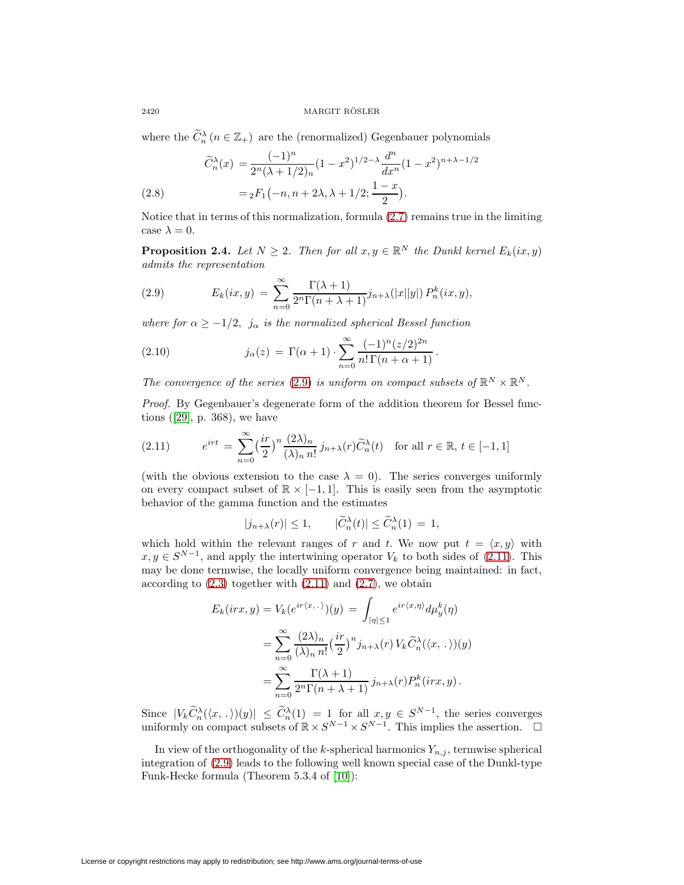$\rm MARGIT~RÖSLER$ 

where the  $\tilde{C}_n^{\lambda}$  ( $n \in \mathbb{Z}_+$ ) are the (renormalized) Gegenbauer polynomials

(2.8) 
$$
\widetilde{C}_n^{\lambda}(x) = \frac{(-1)^n}{2^n (\lambda + 1/2)_n} (1 - x^2)^{1/2 - \lambda} \frac{d^n}{dx^n} (1 - x^2)^{n + \lambda - 1/2}
$$

$$
= {}_2F_1(-n, n + 2\lambda, \lambda + 1/2; \frac{1 - x}{2}).
$$

Notice that in terms of this normalization, formula  $(2.7)$  remains true in the limiting case  $\lambda = 0$ .

<span id="page-7-1"></span>**Proposition 2.4.** Let  $N \geq 2$ . Then for all  $x, y \in \mathbb{R}^N$  the Dunkl kernel  $E_k(ix, y)$ admits the representation

(2.9) 
$$
E_k(ix, y) = \sum_{n=0}^{\infty} \frac{\Gamma(\lambda + 1)}{2^n \Gamma(n + \lambda + 1)} j_{n+\lambda}(|x||y|) P_n^k(ix, y),
$$

where for  $\alpha \geq -1/2$ ,  $j_{\alpha}$  is the normalized spherical Bessel function

(2.10) 
$$
j_{\alpha}(z) = \Gamma(\alpha + 1) \cdot \sum_{n=0}^{\infty} \frac{(-1)^n (z/2)^{2n}}{n! \Gamma(n + \alpha + 1)}.
$$

The convergence of the series [\(2.9\)](#page-7-1) is uniform on compact subsets of  $\mathbb{R}^N \times \mathbb{R}^N$ .

<span id="page-7-2"></span>Proof. By Gegenbauer's degenerate form of the addition theorem for Bessel functions ([\[29\]](#page-25-2), p. 368), we have

(2.11) 
$$
e^{irt} = \sum_{n=0}^{\infty} \left(\frac{ir}{2}\right)^n \frac{(2\lambda)_n}{(\lambda)_n n!} j_{n+\lambda}(r) \widetilde{C}_n^{\lambda}(t) \text{ for all } r \in \mathbb{R}, t \in [-1, 1]
$$

(with the obvious extension to the case  $\lambda = 0$ ). The series converges uniformly on every compact subset of  $\mathbb{R} \times [-1,1]$ . This is easily seen from the asymptotic behavior of the gamma function and the estimates

<span id="page-7-0"></span>
$$
|j_{n+\lambda}(r)| \le 1, \qquad |\widetilde{C}_n^{\lambda}(t)| \le \widetilde{C}_n^{\lambda}(1) = 1,
$$

which hold within the relevant ranges of r and t. We now put  $t = \langle x, y \rangle$  with  $x, y \in S^{N-1}$ , and apply the intertwining operator  $V_k$  to both sides of [\(2.11\)](#page-7-2). This may be done termwise, the locally uniform convergence being maintained: in fact, according to  $(2.3)$  together with  $(2.11)$  and  $(2.7)$ , we obtain

$$
E_k(irx, y) = V_k(e^{ir\langle x, .\rangle})(y) = \int_{|\eta| \le 1} e^{ir\langle x, \eta \rangle} d\mu_y^k(\eta)
$$
  
= 
$$
\sum_{n=0}^{\infty} \frac{(2\lambda)_n}{(\lambda)_n n!} \left(\frac{ir}{2}\right)^n j_{n+\lambda}(r) V_k \widetilde{C}_n^{\lambda}(\langle x, .\rangle)(y)
$$
  
= 
$$
\sum_{n=0}^{\infty} \frac{\Gamma(\lambda + 1)}{2^n \Gamma(n + \lambda + 1)} j_{n+\lambda}(r) P_n^k(irx, y).
$$

Since  $|V_k \widetilde{C}_n^{\lambda}(x, \cdot)(y)| \leq \widetilde{C}_n^{\lambda}(1) = 1$  for all  $x, y \in S^{N-1}$ , the series converges uniformly on compact subsets of  $\mathbb{R} \times S^{N-1} \times S^{N-1}$ . This implies the assertion.  $\Box$ 

<span id="page-7-3"></span>In view of the orthogonality of the k-spherical harmonics  $Y_{n,j}$ , termwise spherical integration of [\(2.9\)](#page-7-1) leads to the following well known special case of the Dunkl-type Funk-Hecke formula (Theorem 5.3.4 of [\[10\]](#page-24-12)):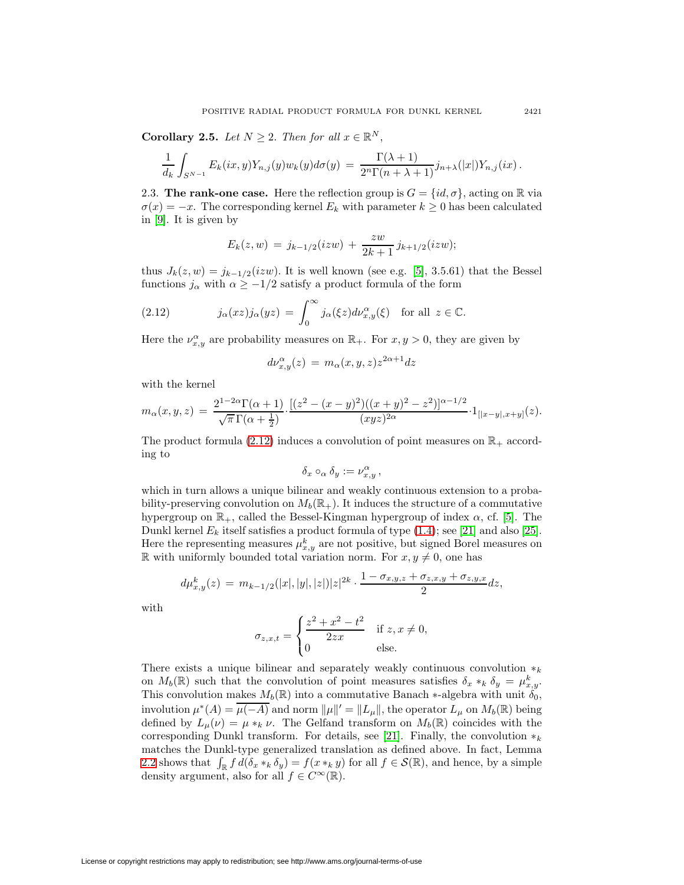**Corollary 2.5.** Let  $N \geq 2$ . Then for all  $x \in \mathbb{R}^N$ ,

$$
\frac{1}{d_k} \int_{S^{N-1}} E_k(ix, y) Y_{n,j}(y) w_k(y) d\sigma(y) = \frac{\Gamma(\lambda+1)}{2^n \Gamma(n+\lambda+1)} j_{n+\lambda}(|x|) Y_{n,j}(ix).
$$

<span id="page-8-0"></span>2.3. **The rank-one case.** Here the reflection group is  $G = \{id, \sigma\}$ , acting on R via  $\sigma(x) = -x$ . The corresponding kernel  $E_k$  with parameter  $k \geq 0$  has been calculated in [\[9\]](#page-24-4). It is given by

$$
E_k(z, w) = j_{k-1/2}(izw) + \frac{zw}{2k+1}j_{k+1/2}(izw);
$$

thus  $J_k(z,w) = j_{k-1/2}(izw)$ . It is well known (see e.g. [\[5\]](#page-24-5), 3.5.61) that the Bessel functions  $j_{\alpha}$  with  $\alpha \geq -1/2$  satisfy a product formula of the form

(2.12) 
$$
j_{\alpha}(xz)j_{\alpha}(yz) = \int_0^{\infty} j_{\alpha}(\xi z) d\nu_{x,y}^{\alpha}(\xi) \text{ for all } z \in \mathbb{C}.
$$

Here the  $\nu_{x,y}^{\alpha}$  are probability measures on  $\mathbb{R}_+$ . For  $x, y > 0$ , they are given by

<span id="page-8-1"></span>
$$
d\nu_{x,y}^{\alpha}(z) = m_{\alpha}(x,y,z)z^{2\alpha+1}dz
$$

with the kernel

$$
m_{\alpha}(x,y,z) = \frac{2^{1-2\alpha}\Gamma(\alpha+1)}{\sqrt{\pi}\Gamma(\alpha+\frac{1}{2})} \cdot \frac{[(z^2-(x-y)^2)((x+y)^2-z^2)]^{\alpha-1/2}}{(xyz)^{2\alpha}} \cdot 1_{[|x-y|,x+y]}(z).
$$

The product formula [\(2.12\)](#page-8-1) induces a convolution of point measures on  $\mathbb{R}_+$  according to

$$
\delta_x \circ_\alpha \delta_y := \nu_{x,y}^\alpha\,,
$$

which in turn allows a unique bilinear and weakly continuous extension to a probability-preserving convolution on  $M_b(\mathbb{R}_+)$ . It induces the structure of a commutative hypergroup on  $\mathbb{R}_+$ , called the Bessel-Kingman hypergroup of index  $\alpha$ , cf. [\[5\]](#page-24-5). The Dunkl kernel  $E_k$  itself satisfies a product formula of type [\(1.4\)](#page-2-2); see [\[21\]](#page-24-7) and also [\[25\]](#page-24-16). Here the representing measures  $\mu^k_{x,y}$  are not positive, but signed Borel measures on R with uniformly bounded total variation norm. For  $x, y \neq 0$ , one has

$$
d\mu_{x,y}^k(z) = m_{k-1/2}(|x|,|y|,|z|)|z|^{2k} \cdot \frac{1 - \sigma_{x,y,z} + \sigma_{z,x,y} + \sigma_{z,y,x}}{2}dz,
$$

with

$$
\sigma_{z,x,t} = \begin{cases} \frac{z^2 + x^2 - t^2}{2zx} & \text{if } z, x \neq 0, \\ 0 & \text{else.} \end{cases}
$$

There exists a unique bilinear and separately weakly continuous convolution  $*_k$ on  $M_b(\mathbb{R})$  such that the convolution of point measures satisfies  $\delta_x *_{k} \delta_y = \mu_{x,y}^k$ . This convolution makes  $M_b(\mathbb{R})$  into a commutative Banach ∗-algebra with unit  $\delta_0$ , involution  $\mu^*(A) = \overline{\mu(-A)}$  and norm  $\|\mu\|' = \|L_\mu\|$ , the operator  $L_\mu$  on  $M_b(\mathbb{R})$  being defined by  $L_{\mu}(\nu) = \mu *_{k} \nu$ . The Gelfand transform on  $M_{b}(\mathbb{R})$  coincides with the corresponding Dunkl transform. For details, see [\[21\]](#page-24-7). Finally, the convolution  $*_k$ matches the Dunkl-type generalized translation as defined above. In fact, Lemma [2.2](#page-5-1) shows that  $\int_{\mathbb{R}} f d(\delta_x *_{k} \delta_y) = f(x *_{k} y)$  for all  $f \in \mathcal{S}(\mathbb{R})$ , and hence, by a simple density argument, also for all  $f \in C^{\infty}(\mathbb{R})$ .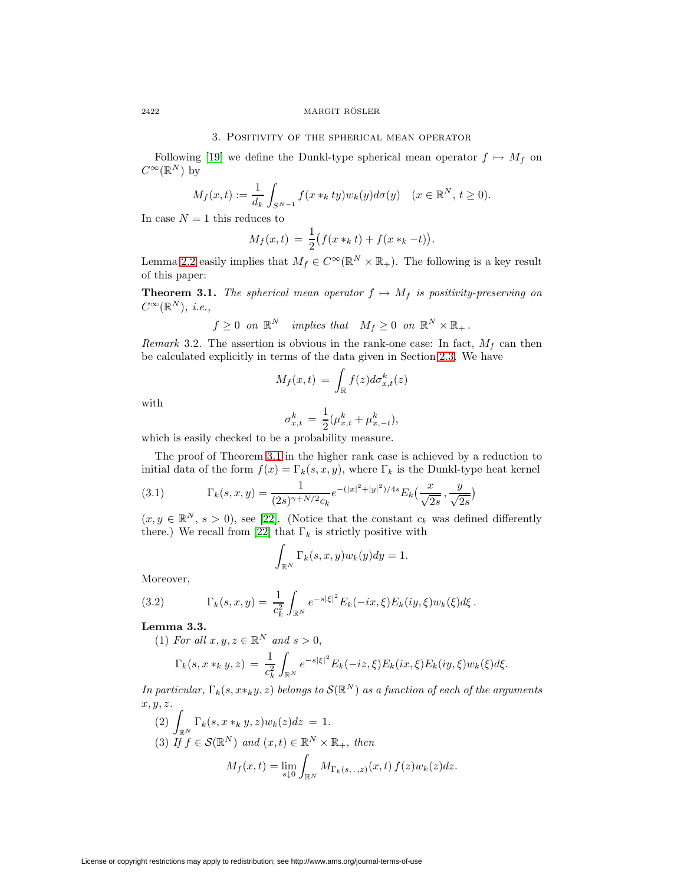#### $\rm MARGIT~RÖSLER$

### 3. Positivity of the spherical mean operator

Following [\[19\]](#page-24-8) we define the Dunkl-type spherical mean operator  $f \mapsto M_f$  on  $C^{\infty}(\mathbb{R}^N)$  by

$$
M_f(x,t) := \frac{1}{d_k} \int_{S^{N-1}} f(x *_k ty) w_k(y) d\sigma(y) \quad (x \in \mathbb{R}^N, t \ge 0).
$$

In case  $N = 1$  this reduces to

$$
M_f(x,t) = \frac{1}{2} \big( f(x *_k t) + f(x *_k - t) \big).
$$

<span id="page-9-0"></span>Lemma [2.2](#page-5-1) easily implies that  $M_f \in C^\infty(\mathbb{R}^N \times \mathbb{R}_+)$ . The following is a key result of this paper:

**Theorem 3.1.** The spherical mean operator  $f \mapsto M_f$  is positivity-preserving on  $C^{\infty}(\mathbb{R}^N)$ , *i.e.*,

$$
f \ge 0
$$
 on  $\mathbb{R}^N$  implies that  $M_f \ge 0$  on  $\mathbb{R}^N \times \mathbb{R}_+$ .

Remark 3.2. The assertion is obvious in the rank-one case: In fact,  $M_f$  can then be calculated explicitly in terms of the data given in Section [2.3.](#page-8-0) We have

$$
M_f(x,t) = \int_{\mathbb{R}} f(z) d\sigma_{x,t}^k(z)
$$

with

<span id="page-9-3"></span>
$$
\sigma_{x,t}^k \ = \ \frac{1}{2} (\mu_{x,t}^k + \mu_{x,-t}^k),
$$

which is easily checked to be a probability measure.

The proof of Theorem [3.1](#page-9-0) in the higher rank case is achieved by a reduction to initial data of the form  $f(x)=\Gamma_k(s, x, y)$ , where  $\Gamma_k$  is the Dunkl-type heat kernel

(3.1) 
$$
\Gamma_k(s,x,y) = \frac{1}{(2s)^{\gamma + N/2}c_k}e^{-(|x|^2 + |y|^2)/4s}E_k\left(\frac{x}{\sqrt{2s}}, \frac{y}{\sqrt{2s}}\right)
$$

 $(x, y \in \mathbb{R}^N, s > 0)$ , see [\[22\]](#page-24-15). (Notice that the constant  $c_k$  was defined differently there.) We recall from [\[22\]](#page-24-15) that  $\Gamma_k$  is strictly positive with

$$
\int_{\mathbb{R}^N} \Gamma_k(s, x, y) w_k(y) dy = 1.
$$

<span id="page-9-1"></span>Moreover,

(3.2) 
$$
\Gamma_k(s, x, y) = \frac{1}{c_k^2} \int_{\mathbb{R}^N} e^{-s|\xi|^2} E_k(-ix, \xi) E_k(iy, \xi) w_k(\xi) d\xi.
$$

<span id="page-9-2"></span>**Lemma 3.3.**

(1) For all  $x, y, z \in \mathbb{R}^N$  and  $s > 0$ ,

$$
\Gamma_k(s, x *_k y, z) = \frac{1}{c_k^2} \int_{\mathbb{R}^N} e^{-s|\xi|^2} E_k(-iz, \xi) E_k(ix, \xi) E_k(iy, \xi) w_k(\xi) d\xi.
$$

In particular,  $\Gamma_k(s, x*_ky, z)$  belongs to  $\mathcal{S}(\mathbb{R}^N)$  as a function of each of the arguments  $x, y, z.$ 

(2) 
$$
\int_{\mathbb{R}^N} \Gamma_k(s, x *_k y, z) w_k(z) dz = 1.
$$
  
\n(3) If  $f \in \mathcal{S}(\mathbb{R}^N)$  and  $(x, t) \in \mathbb{R}^N \times \mathbb{R}_+$ , then  
\n
$$
M_f(x, t) = \lim_{s \downarrow 0} \int_{\mathbb{R}^N} M_{\Gamma_k(s, \cdot, z)}(x, t) f(z) w_k(z) dz.
$$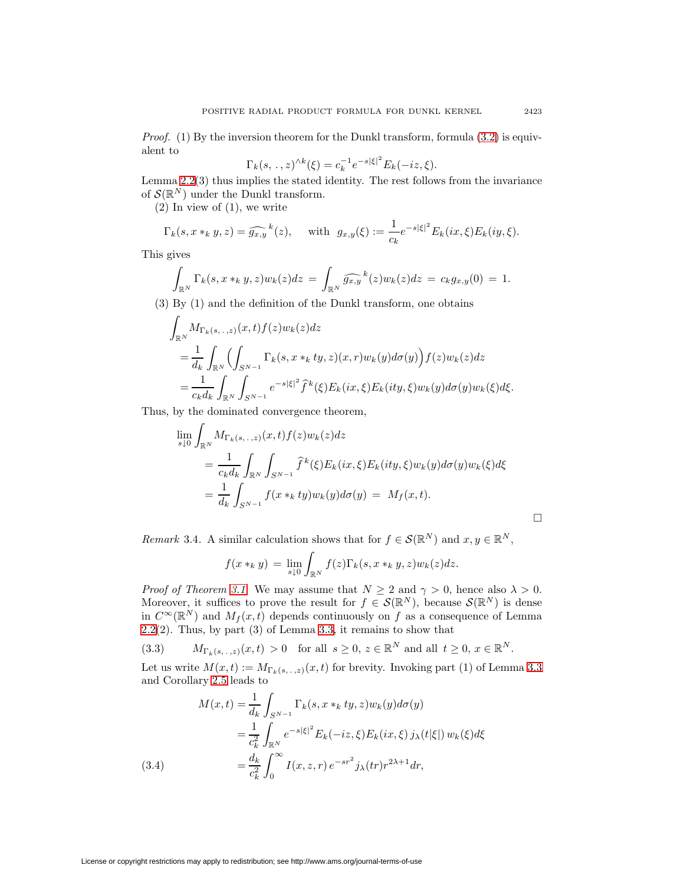*Proof.* (1) By the inversion theorem for the Dunkl transform, formula  $(3.2)$  is equivalent to

$$
\Gamma_k(s, ., z)^{\wedge k}(\xi) = c_k^{-1} e^{-s|\xi|^2} E_k(-iz, \xi).
$$

Lemma [2.2\(](#page-5-1)3) thus implies the stated identity. The rest follows from the invariance of  $\mathcal{S}(\mathbb{R}^N)$  under the Dunkl transform.

 $(2)$  In view of  $(1)$ , we write

$$
\Gamma_k(s, x *_k y, z) = \widehat{g_{x,y}}^k(z)
$$
, with  $g_{x,y}(\xi) := \frac{1}{c_k} e^{-s|\xi|^2} E_k(ix, \xi) E_k(iy, \xi)$ .

This gives

$$
\int_{\mathbb{R}^N} \Gamma_k(s, x *_k y, z) w_k(z) dz = \int_{\mathbb{R}^N} \widehat{g_{x,y}}^k(z) w_k(z) dz = c_k g_{x,y}(0) = 1.
$$

(3) By (1) and the definition of the Dunkl transform, one obtains

$$
\int_{\mathbb{R}^N} M_{\Gamma_k(s, \ldots, z)}(x, t) f(z) w_k(z) dz
$$
\n
$$
= \frac{1}{d_k} \int_{\mathbb{R}^N} \Bigl( \int_{S^{N-1}} \Gamma_k(s, x *_k ty, z) (x, r) w_k(y) d\sigma(y) \Bigr) f(z) w_k(z) dz
$$
\n
$$
= \frac{1}{c_k d_k} \int_{\mathbb{R}^N} \int_{S^{N-1}} e^{-s|\xi|^2} \hat{f}^k(\xi) E_k(ix, \xi) E_k(ity, \xi) w_k(y) d\sigma(y) w_k(\xi) d\xi.
$$

Thus, by the dominated convergence theorem,

$$
\lim_{s\downarrow 0} \int_{\mathbb{R}^N} M_{\Gamma_k(s,\cdot,z)}(x,t) f(z) w_k(z) dz
$$
\n
$$
= \frac{1}{c_k d_k} \int_{\mathbb{R}^N} \int_{S^{N-1}} \hat{f}^k(\xi) E_k(ix,\xi) E_k(ity,\xi) w_k(y) d\sigma(y) w_k(\xi) d\xi
$$
\n
$$
= \frac{1}{d_k} \int_{S^{N-1}} f(x *_k ty) w_k(y) d\sigma(y) = M_f(x,t).
$$

 $\Box$ 

Remark 3.4. A similar calculation shows that for  $f \in \mathcal{S}(\mathbb{R}^N)$  and  $x, y \in \mathbb{R}^N$ ,

$$
f(x *_k y) = \lim_{s \downarrow 0} \int_{\mathbb{R}^N} f(z) \Gamma_k(s, x *_k y, z) w_k(z) dz.
$$

*Proof of Theorem [3.1.](#page-9-0)* We may assume that  $N \ge 2$  and  $\gamma > 0$ , hence also  $\lambda > 0$ . Moreover, it suffices to prove the result for  $f \in \mathcal{S}(\mathbb{R}^N)$ , because  $\mathcal{S}(\mathbb{R}^N)$  is dense in  $C^{\infty}(\mathbb{R}^N)$  and  $M_f(x, t)$  depends continuously on f as a consequence of Lemma [2.2\(](#page-5-1)2). Thus, by part (3) of Lemma [3.3,](#page-9-2) it remains to show that

(3.3)  $M_{\Gamma_k(s, \cdot, z)}(x, t) > 0$  for all  $s \ge 0, z \in \mathbb{R}^N$  and all  $t \ge 0, x \in \mathbb{R}^N$ .

Let us write  $M(x, t) := M_{\Gamma_k(s, \ldots, z)}(x, t)$  for brevity. Invoking part (1) of Lemma [3.3](#page-9-2) and Corollary [2.5](#page-7-3) leads to

<span id="page-10-0"></span>(3.4)  
\n
$$
M(x,t) = \frac{1}{d_k} \int_{S^{N-1}} \Gamma_k(s, x *_k ty, z) w_k(y) d\sigma(y)
$$
\n
$$
= \frac{1}{c_k^2} \int_{\mathbb{R}^N} e^{-s|\xi|^2} E_k(-iz, \xi) E_k(ix, \xi) j_\lambda(t|\xi|) w_k(\xi) d\xi
$$
\n
$$
= \frac{d_k}{c_k^2} \int_0^\infty I(x, z, r) e^{-sr^2} j_\lambda(tr) r^{2\lambda + 1} dr,
$$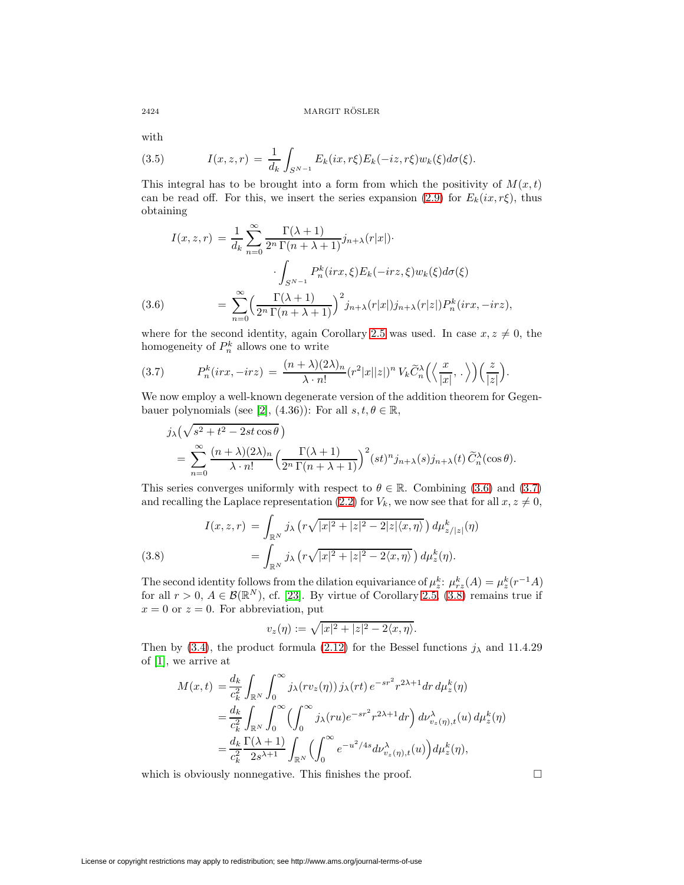<span id="page-11-3"></span>with

(3.5) 
$$
I(x,z,r) = \frac{1}{d_k} \int_{S^{N-1}} E_k(ix,r\xi) E_k(-iz,r\xi) w_k(\xi) d\sigma(\xi).
$$

This integral has to be brought into a form from which the positivity of  $M(x,t)$ can be read off. For this, we insert the series expansion [\(2.9\)](#page-7-1) for  $E_k(ix, r\xi)$ , thus obtaining

(3.6)  
\n
$$
I(x, z, r) = \frac{1}{d_k} \sum_{n=0}^{\infty} \frac{\Gamma(\lambda + 1)}{2^n \Gamma(n + \lambda + 1)} j_{n+\lambda}(r|x|) \cdot \int_{S^{N-1}} P_n^k(irx, \xi) E_k(-irz, \xi) w_k(\xi) d\sigma(\xi)
$$
\n
$$
= \sum_{n=0}^{\infty} \left( \frac{\Gamma(\lambda + 1)}{2^n \Gamma(n + \lambda + 1)} \right)^2 j_{n+\lambda}(r|x|) j_{n+\lambda}(r|z|) P_n^k(irx, -irz),
$$

<span id="page-11-1"></span><span id="page-11-0"></span>where for the second identity, again Corollary [2.5](#page-7-3) was used. In case  $x, z \neq 0$ , the homogeneity of  $P_n^k$  allows one to write

$$
(3.7) \tP_n^k(irx,-irz) = \frac{(n+\lambda)(2\lambda)_n}{\lambda \cdot n!} (r^2|x||z|)^n V_k \widetilde{C}_n^{\lambda} \left( \left\langle \frac{x}{|x|}, \cdot \right\rangle \right) \left( \frac{z}{|z|} \right).
$$

We now employ a well-known degenerate version of the addition theorem for Gegen-bauer polynomials (see [\[2\]](#page-24-17), (4.36)): For all  $s, t, \theta \in \mathbb{R}$ ,

$$
j_{\lambda}(\sqrt{s^2+t^2-2st\cos\theta})
$$
  
=
$$
\sum_{n=0}^{\infty}\frac{(n+\lambda)(2\lambda)_n}{\lambda \cdot n!}\Big(\frac{\Gamma(\lambda+1)}{2^n\Gamma(n+\lambda+1)}\Big)^2(st)^n j_{n+\lambda}(s) j_{n+\lambda}(t) \widetilde{C}_n^{\lambda}(\cos\theta).
$$

This series converges uniformly with respect to  $\theta \in \mathbb{R}$ . Combining [\(3.6\)](#page-11-0) and [\(3.7\)](#page-11-1) and recalling the Laplace representation [\(2.2\)](#page-4-0) for  $V_k$ , we now see that for all  $x, z \neq 0$ ,

(3.8)  

$$
I(x, z, r) = \int_{\mathbb{R}^N} j_\lambda \left( r \sqrt{|x|^2 + |z|^2 - 2|z| \langle x, \eta \rangle} \right) d\mu_{z/|z|}^k(\eta)
$$

$$
= \int_{\mathbb{R}^N} j_\lambda \left( r \sqrt{|x|^2 + |z|^2 - 2 \langle x, \eta \rangle} \right) d\mu_z^k(\eta).
$$

<span id="page-11-2"></span>The second identity follows from the dilation equivariance of  $\mu_z^k$ :  $\mu_{rz}^k(A) = \mu_z^k(r^{-1}A)$ for all  $r > 0$ ,  $A \in \mathcal{B}(\mathbb{R}^N)$ , cf. [\[23\]](#page-24-11). By virtue of Corollary [2.5,](#page-7-3)  $(3.8)$  remains true if  $x = 0$  or  $z = 0$ . For abbreviation, put

$$
v_z(\eta) := \sqrt{|x|^2 + |z|^2 - 2\langle x, \eta \rangle}.
$$

Then by [\(3.4\)](#page-10-0), the product formula [\(2.12\)](#page-8-1) for the Bessel functions  $j_{\lambda}$  and 11.4.29 of [\[1\]](#page-24-18), we arrive at

$$
M(x,t) = \frac{d_k}{c_k^2} \int_{\mathbb{R}^N} \int_0^\infty j_\lambda(rv_z(\eta)) j_\lambda(rt) e^{-sr^2} r^{2\lambda+1} dr d\mu_z^k(\eta)
$$
  
= 
$$
\frac{d_k}{c_k^2} \int_{\mathbb{R}^N} \int_0^\infty \left( \int_0^\infty j_\lambda(ru) e^{-sr^2} r^{2\lambda+1} dr \right) d\nu_{v_z(\eta),t}^\lambda(u) d\mu_z^k(\eta)
$$
  
= 
$$
\frac{d_k}{c_k^2} \frac{\Gamma(\lambda+1)}{2s^{\lambda+1}} \int_{\mathbb{R}^N} \left( \int_0^\infty e^{-u^2/4s} d\nu_{v_z(\eta),t}^\lambda(u) \right) d\mu_z^k(\eta),
$$

which is obviously nonnegative. This finishes the proof.  $\Box$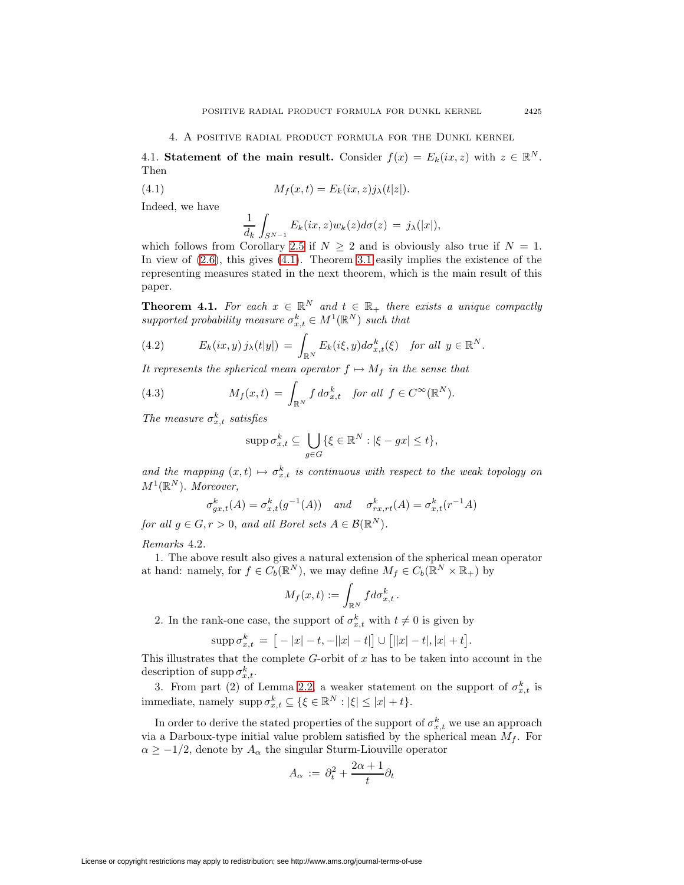#### 4. A positive radial product formula for the Dunkl kernel

<span id="page-12-1"></span>4.1. **Statement of the main result.** Consider  $f(x) = E_k(ix, z)$  with  $z \in \mathbb{R}^N$ . Then

(4.1) 
$$
M_f(x,t) = E_k(ix,z)j_\lambda(t|z|).
$$

Indeed, we have

<span id="page-12-3"></span>
$$
\frac{1}{d_k}\int_{S^{N-1}}E_k(ix,z)w_k(z)d\sigma(z) = j_\lambda(|x|),
$$

which follows from Corollary [2.5](#page-7-3) if  $N \geq 2$  and is obviously also true if  $N = 1$ . In view of  $(2.6)$ , this gives  $(4.1)$ . Theorem [3.1](#page-9-0) easily implies the existence of the representing measures stated in the next theorem, which is the main result of this paper.

<span id="page-12-0"></span>**Theorem 4.1.** For each  $x \in \mathbb{R}^N$  and  $t \in \mathbb{R}_+$  there exists a unique compactly supported probability measure  $\sigma_{x,t}^k \in M^1(\mathbb{R}^N)$  such that

(4.2) 
$$
E_k(ix, y) j_{\lambda}(t|y|) = \int_{\mathbb{R}^N} E_k(i\xi, y) d\sigma_{x,t}^k(\xi) \text{ for all } y \in \mathbb{R}^N.
$$

It represents the spherical mean operator  $f \mapsto M_f$  in the sense that

(4.3) 
$$
M_f(x,t) = \int_{\mathbb{R}^N} f d\sigma_{x,t}^k \quad \text{for all } f \in C^\infty(\mathbb{R}^N).
$$

The measure  $\sigma_{x,t}^k$  satisfies

<span id="page-12-2"></span>
$$
\operatorname{supp} \sigma_{x,t}^k \subseteq \bigcup_{g \in G} \{ \xi \in \mathbb{R}^N : |\xi - gx| \le t \},\
$$

and the mapping  $(x,t) \mapsto \sigma_{x,t}^k$  is continuous with respect to the weak topology on  $M^1(\mathbb{R}^N)$ . Moreover,

$$
\sigma_{gx,t}^k(A) = \sigma_{x,t}^k(g^{-1}(A)) \quad and \quad \sigma_{rx,rt}^k(A) = \sigma_{x,t}^k(r^{-1}A)
$$

for all  $g \in G, r > 0$ , and all Borel sets  $A \in \mathcal{B}(\mathbb{R}^N)$ .

Remarks 4.2.

1. The above result also gives a natural extension of the spherical mean operator at hand: namely, for  $f \in C_b(\mathbb{R}^N)$ , we may define  $M_f \in C_b(\mathbb{R}^N \times \mathbb{R}_+)$  by

$$
M_f(x,t) := \int_{\mathbb{R}^N} f d\sigma_{x,t}^k.
$$

2. In the rank-one case, the support of  $\sigma_{x,t}^k$  with  $t \neq 0$  is given by

$$
\mathrm{supp} \, \sigma_{x,t}^k = \big[ -|x| - t, -||x| - t \big] \cup [||x| - t|, |x| + t \big].
$$

This illustrates that the complete  $G$ -orbit of  $x$  has to be taken into account in the description of supp  $\sigma_{x,t}^k$ .

3. From part (2) of Lemma [2.2,](#page-5-1) a weaker statement on the support of  $\sigma_{x,t}^k$  is immediate, namely supp  $\sigma_{x,t}^k \subseteq {\{\xi \in \mathbb{R}^N : |\xi| \leq |x| + t\}}.$ 

In order to derive the stated properties of the support of  $\sigma_{x,t}^k$  we use an approach via a Darboux-type initial value problem satisfied by the spherical mean  $M_f$ . For  $\alpha \geq -1/2$ , denote by  $A_{\alpha}$  the singular Sturm-Liouville operator

$$
A_{\alpha} := \partial_t^2 + \frac{2\alpha + 1}{t} \partial_t
$$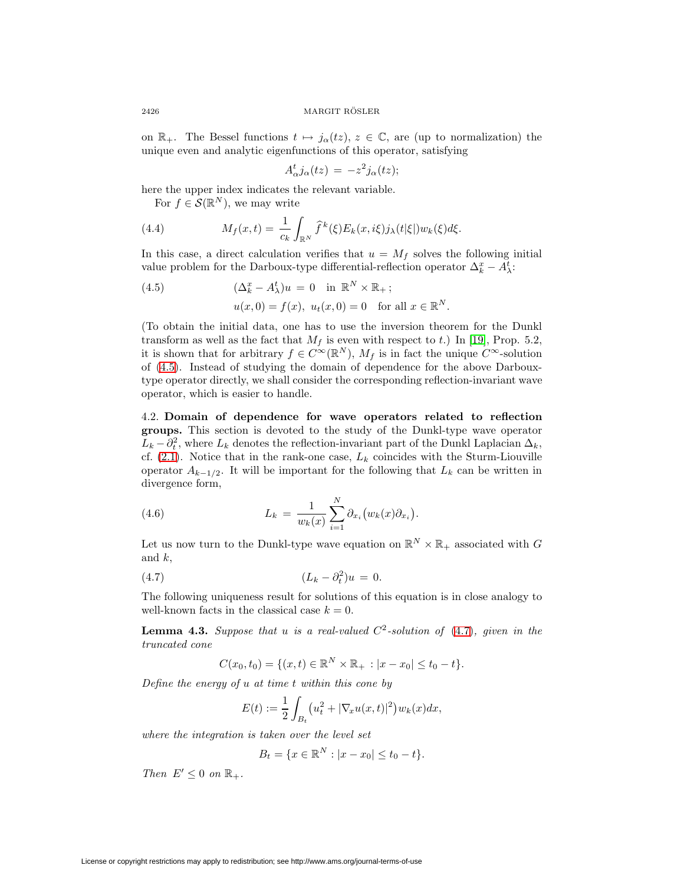on  $\mathbb{R}_+$ . The Bessel functions  $t \mapsto j_\alpha(tz), z \in \mathbb{C}$ , are (up to normalization) the unique even and analytic eigenfunctions of this operator, satisfying

$$
A^t_{\alpha}j_{\alpha}(tz) = -z^2j_{\alpha}(tz);
$$

here the upper index indicates the relevant variable.

<span id="page-13-3"></span>For  $f \in \mathcal{S}(\mathbb{R}^N)$ , we may write

(4.4) 
$$
M_f(x,t) = \frac{1}{c_k} \int_{\mathbb{R}^N} \widehat{f}^k(\xi) E_k(x,i\xi) j_\lambda(t|\xi|) w_k(\xi) d\xi.
$$

In this case, a direct calculation verifies that  $u = M_f$  solves the following initial value problem for the Darboux-type differential-reflection operator  $\Delta_k^x - A_{\lambda}^t$ :

<span id="page-13-0"></span>(4.5) 
$$
(\Delta_k^x - A_\lambda^t)u = 0 \text{ in } \mathbb{R}^N \times \mathbb{R}_+;
$$

 $u(x, 0) = f(x), u_t(x, 0) = 0$  for all  $x \in \mathbb{R}^N$ .

(To obtain the initial data, one has to use the inversion theorem for the Dunkl transform as well as the fact that  $M_f$  is even with respect to t.) In [\[19\]](#page-24-8), Prop. 5.2, it is shown that for arbitrary  $f \in C^{\infty}(\mathbb{R}^N)$ ,  $M_f$  is in fact the unique  $C^{\infty}$ -solution of [\(4.5\)](#page-13-0). Instead of studying the domain of dependence for the above Darbouxtype operator directly, we shall consider the corresponding reflection-invariant wave operator, which is easier to handle.

4.2. **Domain of dependence for wave operators related to reflection groups.** This section is devoted to the study of the Dunkl-type wave operator  $L_k - \partial_t^2$ , where  $L_k$  denotes the reflection-invariant part of the Dunkl Laplacian  $\Delta_k$ , cf. [\(2.1\)](#page-4-2). Notice that in the rank-one case,  $L_k$  coincides with the Sturm-Liouville operator  $A_{k-1/2}$ . It will be important for the following that  $L_k$  can be written in divergence form,

<span id="page-13-2"></span>(4.6) 
$$
L_k = \frac{1}{w_k(x)} \sum_{i=1}^N \partial_{x_i} (w_k(x) \partial_{x_i}).
$$

<span id="page-13-1"></span>Let us now turn to the Dunkl-type wave equation on  $\mathbb{R}^N \times \mathbb{R}_+$  associated with G and  $k$ ,

$$
(4.7) \qquad (L_k - \partial_t^2)u = 0.
$$

The following uniqueness result for solutions of this equation is in close analogy to well-known facts in the classical case  $k = 0$ .

**Lemma 4.3.** Suppose that u is a real-valued  $C^2$ -solution of [\(4.7\)](#page-13-1), given in the truncated cone

$$
C(x_0, t_0) = \{(x, t) \in \mathbb{R}^N \times \mathbb{R}_+ : |x - x_0| \le t_0 - t\}.
$$

Define the energy of  $u$  at time  $t$  within this cone by

$$
E(t) := \frac{1}{2} \int_{B_t} \left( u_t^2 + |\nabla_x u(x, t)|^2 \right) w_k(x) dx,
$$

where the integration is taken over the level set

$$
B_t = \{x \in \mathbb{R}^N : |x - x_0| \le t_0 - t\}.
$$

Then  $E' \leq 0$  on  $\mathbb{R}_+$ .

License or copyright restrictions may apply to redistribution; see http://www.ams.org/journal-terms-of-use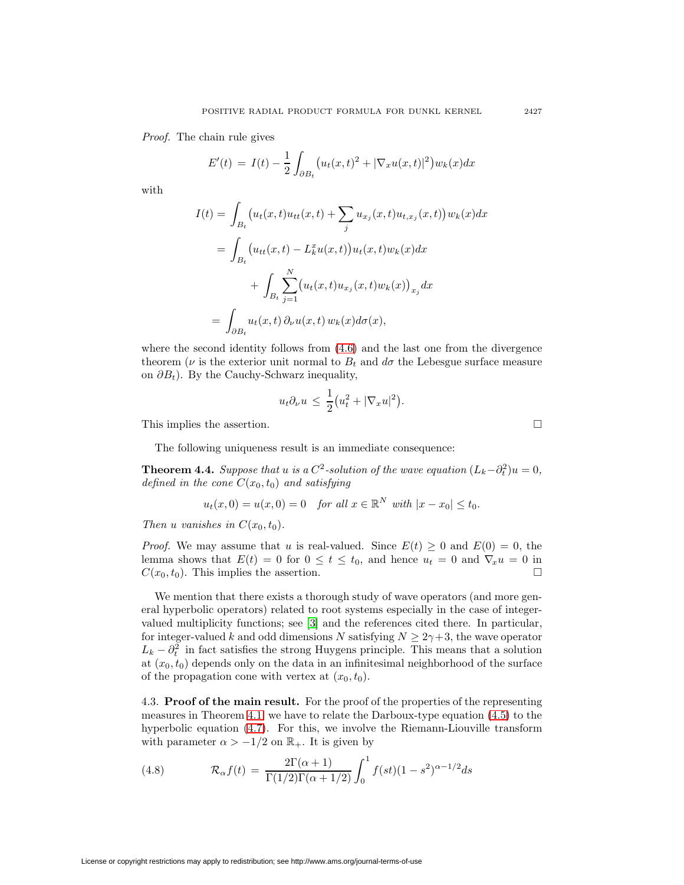Proof. The chain rule gives

$$
E'(t) = I(t) - \frac{1}{2} \int_{\partial B_t} \left( u_t(x, t)^2 + |\nabla_x u(x, t)|^2 \right) w_k(x) dx
$$

with

$$
I(t) = \int_{B_t} (u_t(x, t)u_{tt}(x, t) + \sum_j u_{x_j}(x, t)u_{t, x_j}(x, t))w_k(x)dx
$$
  

$$
= \int_{B_t} (u_{tt}(x, t) - L_k^x u(x, t))u_t(x, t)w_k(x)dx
$$
  

$$
+ \int_{B_t} \sum_{j=1}^N (u_t(x, t)u_{x_j}(x, t)w_k(x))_{x_j}dx
$$
  

$$
= \int_{\partial B_t} u_t(x, t) \partial_\nu u(x, t) w_k(x) d\sigma(x),
$$

where the second identity follows from [\(4.6\)](#page-13-2) and the last one from the divergence theorem ( $\nu$  is the exterior unit normal to  $B_t$  and  $d\sigma$  the Lebesgue surface measure on  $\partial B_t$ ). By the Cauchy-Schwarz inequality,

$$
u_t \partial_\nu u \leq \frac{1}{2} \big( u_t^2 + |\nabla_x u|^2 \big).
$$

This implies the assertion.  $\Box$ 

The following uniqueness result is an immediate consequence:

<span id="page-14-0"></span>**Theorem 4.4.** Suppose that u is a  $C^2$ -solution of the wave equation  $(L_k - \partial_t^2)u = 0$ , defined in the cone  $C(x_0, t_0)$  and satisfying

$$
u_t(x, 0) = u(x, 0) = 0
$$
 for all  $x \in \mathbb{R}^N$  with  $|x - x_0| \le t_0$ .

Then u vanishes in  $C(x_0, t_0)$ .

*Proof.* We may assume that u is real-valued. Since  $E(t) \geq 0$  and  $E(0) = 0$ , the lemma shows that  $E(t) = 0$  for  $0 \le t \le t_0$ , and hence  $u_t = 0$  and  $\nabla_x u = 0$  in  $C(x_0, t_0)$ . This implies the assertion.

We mention that there exists a thorough study of wave operators (and more general hyperbolic operators) related to root systems especially in the case of integervalued multiplicity functions; see [\[3\]](#page-24-19) and the references cited there. In particular, for integer-valued k and odd dimensions N satisfying  $N \geq 2\gamma + 3$ , the wave operator  $L_k - \partial_t^2$  in fact satisfies the strong Huygens principle. This means that a solution at  $(x_0, t_0)$  depends only on the data in an infinitesimal neighborhood of the surface of the propagation cone with vertex at  $(x_0, t_0)$ .

4.3. **Proof of the main result.** For the proof of the properties of the representing measures in Theorem [4.1,](#page-12-0) we have to relate the Darboux-type equation [\(4.5\)](#page-13-0) to the hyperbolic equation [\(4.7\)](#page-13-1). For this, we involve the Riemann-Liouville transform with parameter  $\alpha > -1/2$  on  $\mathbb{R}_+$ . It is given by

<span id="page-14-1"></span>(4.8) 
$$
\mathcal{R}_{\alpha}f(t) = \frac{2\Gamma(\alpha+1)}{\Gamma(1/2)\Gamma(\alpha+1/2)} \int_0^1 f(st)(1-s^2)^{\alpha-1/2} ds
$$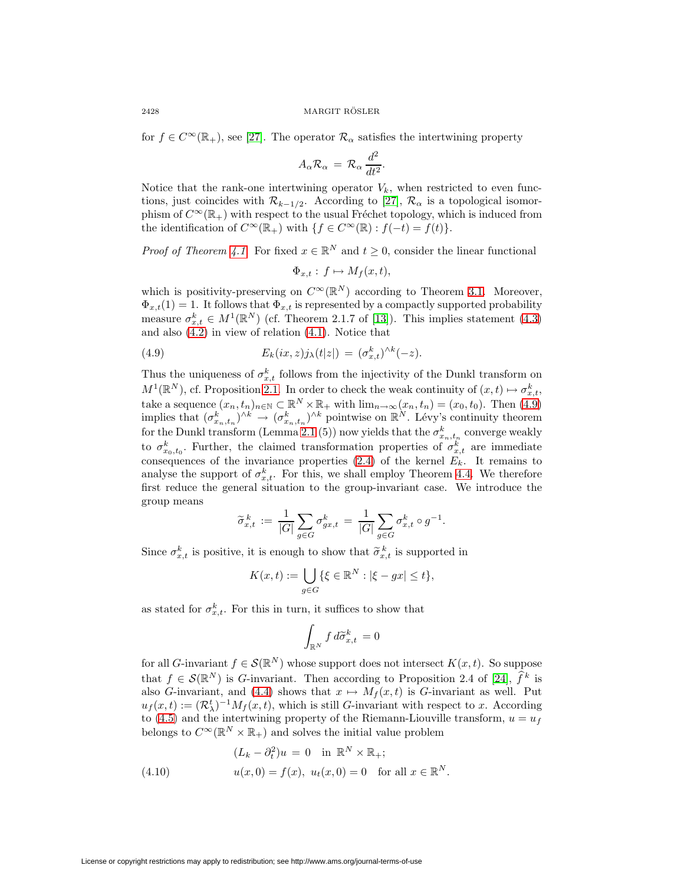$\begin{array}{ll}\n 2428 \\
\text{MARGIT RÖSLER}\n \end{array}$ 

for  $f \in C^{\infty}(\mathbb{R}_{+})$ , see [\[27\]](#page-24-20). The operator  $\mathcal{R}_{\alpha}$  satisfies the intertwining property

$$
A_{\alpha}\mathcal{R}_{\alpha} = \mathcal{R}_{\alpha}\frac{d^2}{dt^2}.
$$

Notice that the rank-one intertwining operator  $V_k$ , when restricted to even functions, just coincides with  $\mathcal{R}_{k-1/2}$ . According to [\[27\]](#page-24-20),  $\mathcal{R}_{\alpha}$  is a topological isomorphism of  $C^{\infty}(\mathbb{R}_{+})$  with respect to the usual Fréchet topology, which is induced from the identification of  $C^{\infty}(\mathbb{R}_{+})$  with  $\{f \in C^{\infty}(\mathbb{R}) : f(-t) = f(t)\}.$ 

*Proof of Theorem [4.1.](#page-12-0)* For fixed  $x \in \mathbb{R}^N$  and  $t \geq 0$ , consider the linear functional

<span id="page-15-0"></span>
$$
\Phi_{x,t}: f \mapsto M_f(x,t),
$$

which is positivity-preserving on  $C^{\infty}(\mathbb{R}^N)$  according to Theorem [3.1.](#page-9-0) Moreover,  $\Phi_{x,t}(1) = 1$ . It follows that  $\Phi_{x,t}$  is represented by a compactly supported probability measure  $\sigma_{x,t}^k \in M^1(\mathbb{R}^N)$  (cf. Theorem 2.1.7 of [\[13\]](#page-24-21)). This implies statement [\(4.3\)](#page-12-2) and also [\(4.2\)](#page-12-3) in view of relation [\(4.1\)](#page-12-1). Notice that

(4.9) 
$$
E_k(ix, z)j_\lambda(t|z|) = (\sigma_{x,t}^k)^{\wedge k}(-z).
$$

Thus the uniqueness of  $\sigma_{x,t}^k$  follows from the injectivity of the Dunkl transform on  $M^1(\mathbb{R}^N)$ , cf. Proposition [2.1.](#page-5-3) In order to check the weak continuity of  $(x, t) \mapsto \sigma_{x,t}^k$ , take a sequence  $(x_n, t_n)_{n \in \mathbb{N}} \subset \mathbb{R}^N \times \mathbb{R}_+$  with  $\lim_{n \to \infty} (x_n, t_n) = (x_0, t_0)$ . Then [\(4.9\)](#page-15-0) implies that  $(\sigma_{x_n,t_n}^k)^{\wedge k} \to (\sigma_{x_n,t_n}^k)^{\wedge k}$  pointwise on  $\mathbb{R}^N$ . Lévy's continuity theorem for the Dunkl transform (Lemma [2.1](#page-5-3) (5)) now yields that the  $\sigma_{x_n,t_n}^k$  converge weakly to  $\sigma_{x_0,t_0}^k$ . Further, the claimed transformation properties of  $\sigma_{x,t}^k$  are immediate consequences of the invariance properties  $(2.4)$  of the kernel  $E_k$ . It remains to analyse the support of  $\sigma_{x,t}^k$ . For this, we shall employ Theorem [4.4.](#page-14-0) We therefore first reduce the general situation to the group-invariant case. We introduce the group means

$$
\widetilde{\sigma}_{x,t}^k \, := \, \frac{1}{|G|} \sum_{g \in G} \sigma_{gx,t}^k \, = \, \frac{1}{|G|} \sum_{g \in G} \sigma_{x,t}^k \circ g^{-1}.
$$

Since  $\sigma_{x,t}^k$  is positive, it is enough to show that  $\tilde{\sigma}_{x,t}^k$  is supported in

$$
K(x,t) := \bigcup_{g \in G} \{ \xi \in \mathbb{R}^N : |\xi - gx| \le t \},\
$$

as stated for  $\sigma_{x,t}^k$ . For this in turn, it suffices to show that

$$
\int_{\mathbb{R}^N} f \, d \widetilde{\sigma}^k_{x,t} \, = 0
$$

for all G-invariant  $f \in \mathcal{S}(\mathbb{R}^N)$  whose support does not intersect  $K(x, t)$ . So suppose that  $f \in \mathcal{S}(\mathbb{R}^N)$  is G-invariant. Then according to Proposition 2.4 of [\[24\]](#page-24-9),  $\hat{f}^k$  is also G-invariant, and [\(4.4\)](#page-13-3) shows that  $x \mapsto M_f(x, t)$  is G-invariant as well. Put  $u_f(x,t) := (\mathcal{R}_{\lambda}^t)^{-1} M_f(x,t)$ , which is still G-invariant with respect to x. According to [\(4.5\)](#page-13-0) and the intertwining property of the Riemann-Liouville transform,  $u = u_f$ belongs to  $C^{\infty}(\mathbb{R}^N\times\mathbb{R}_+)$  and solves the initial value problem

(4.10) 
$$
(L_k - \partial_t^2)u = 0 \text{ in } \mathbb{R}^N \times \mathbb{R}_+; u(x, 0) = f(x), u_t(x, 0) = 0 \text{ for all } x \in \mathbb{R}^N.
$$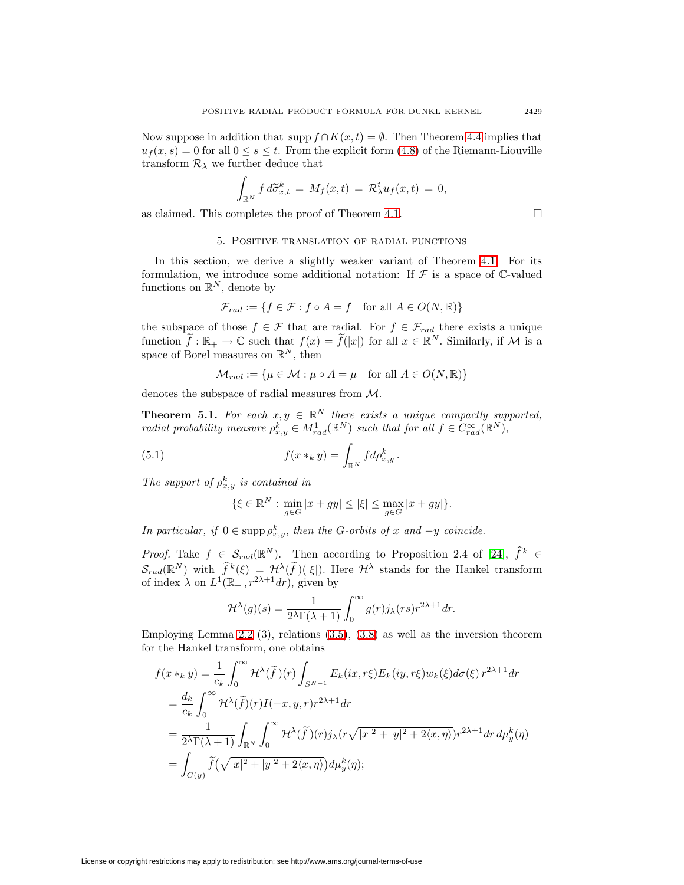Now suppose in addition that supp  $f \cap K(x,t) = \emptyset$ . Then Theorem [4.4](#page-14-0) implies that  $u_f(x, s) = 0$  for all  $0 \le s \le t$ . From the explicit form [\(4.8\)](#page-14-1) of the Riemann-Liouville transform  $\mathcal{R}_\lambda$  we further deduce that

$$
\int_{\mathbb{R}^N} f d\widetilde{\sigma}_{x,t}^k = M_f(x,t) = \mathcal{R}_{\lambda}^t u_f(x,t) = 0,
$$

as claimed. This completes the proof of Theorem [4.1.](#page-12-0)  $\Box$ 

# 5. Positive translation of radial functions

In this section, we derive a slightly weaker variant of Theorem [4.1.](#page-12-0) For its formulation, we introduce some additional notation: If  $\mathcal F$  is a space of  $\mathbb C$ -valued functions on  $\mathbb{R}^N$ , denote by

$$
\mathcal{F}_{rad} := \{ f \in \mathcal{F} : f \circ A = f \quad \text{for all } A \in O(N, \mathbb{R}) \}
$$

the subspace of those  $f \in \mathcal{F}$  that are radial. For  $f \in \mathcal{F}_{rad}$  there exists a unique function  $\tilde{f} : \mathbb{R}_+ \to \mathbb{C}$  such that  $f(x) = \tilde{f}(|x|)$  for all  $x \in \mathbb{R}^N$ . Similarly, if M is a space of Borel measures on  $\mathbb{R}^N$ , then

$$
\mathcal{M}_{rad} := \{ \mu \in \mathcal{M} : \mu \circ A = \mu \quad \text{for all } A \in O(N, \mathbb{R}) \}
$$

<span id="page-16-0"></span>denotes the subspace of radial measures from M.

**Theorem 5.1.** For each  $x, y \in \mathbb{R}^N$  there exists a unique compactly supported, radial probability measure  $\rho_{x,y}^k \in M_{rad}^1(\mathbb{R}^N)$  such that for all  $f \in C_{rad}^{\infty}(\mathbb{R}^N)$ ,

(5.1) 
$$
f(x *_{k} y) = \int_{\mathbb{R}^{N}} f d\rho_{x,y}^{k}.
$$

The support of  $\rho_{x,y}^k$  is contained in

<span id="page-16-1"></span>
$$
\{\xi\in\mathbb{R}^N:\,\min_{g\in G}|x+gy|\leq |\xi|\leq \max_{g\in G}|x+gy|\}.
$$

In particular, if  $0 \in \text{supp } \rho_{x,y}^k$ , then the G-orbits of x and  $-y$  coincide.

*Proof.* Take  $f \in \mathcal{S}_{rad}(\mathbb{R}^N)$ . Then according to Proposition 2.4 of [\[24\]](#page-24-9),  $\hat{f}^k \in$  $\mathcal{S}_{rad}(\mathbb{R}^N)$  with  $\hat{f}^k(\xi) = \mathcal{H}^{\lambda}(\hat{f})(|\xi|)$ . Here  $\mathcal{H}^{\lambda}$  stands for the Hankel transform of index  $\lambda$  on  $L^1(\mathbb{R}_+, r^{2\lambda+1}dr)$ , given by

$$
\mathcal{H}^{\lambda}(g)(s) = \frac{1}{2^{\lambda}\Gamma(\lambda+1)} \int_0^{\infty} g(r) j_{\lambda}(rs) r^{2\lambda+1} dr.
$$

Employing Lemma [2.2](#page-5-1) (3), relations [\(3.5\)](#page-11-3), [\(3.8\)](#page-11-2) as well as the inversion theorem for the Hankel transform, one obtains

$$
f(x *_k y) = \frac{1}{c_k} \int_0^\infty \mathcal{H}^\lambda(\tilde{f})(r) \int_{S^{N-1}} E_k(ix, r\xi) E_k(iy, r\xi) w_k(\xi) d\sigma(\xi) r^{2\lambda + 1} dr
$$
  
\n
$$
= \frac{d_k}{c_k} \int_0^\infty \mathcal{H}^\lambda(\tilde{f})(r) I(-x, y, r) r^{2\lambda + 1} dr
$$
  
\n
$$
= \frac{1}{2^\lambda \Gamma(\lambda + 1)} \int_{\mathbb{R}^N} \int_0^\infty \mathcal{H}^\lambda(\tilde{f})(r) j_\lambda(r\sqrt{|x|^2 + |y|^2 + 2\langle x, \eta \rangle}) r^{2\lambda + 1} dr d\mu_y^k(\eta)
$$
  
\n
$$
= \int_{C(y)} \tilde{f}(\sqrt{|x|^2 + |y|^2 + 2\langle x, \eta \rangle}) d\mu_y^k(\eta);
$$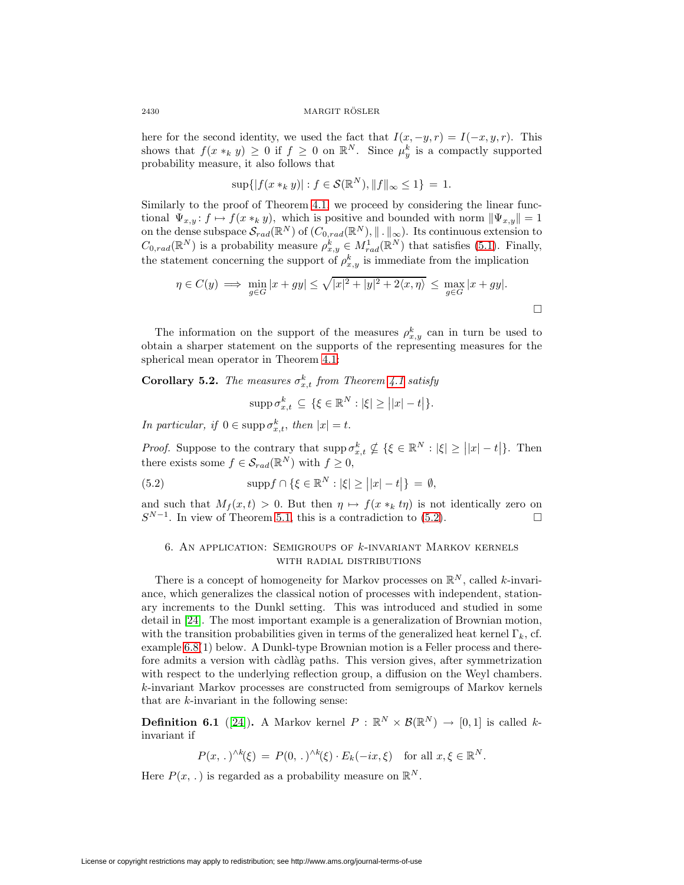here for the second identity, we used the fact that  $I(x, -y, r) = I(-x, y, r)$ . This shows that  $f(x *_k y) \geq 0$  if  $f \geq 0$  on  $\mathbb{R}^N$ . Since  $\mu_y^k$  is a compactly supported probability measure, it also follows that

$$
\sup\{|f(x *_k y)| : f \in \mathcal{S}(\mathbb{R}^N), \|f\|_{\infty} \le 1\} = 1.
$$

Similarly to the proof of Theorem [4.1,](#page-12-0) we proceed by considering the linear functional  $\Psi_{x,y}$ :  $f \mapsto f(x *_k y)$ , which is positive and bounded with norm  $\|\Psi_{x,y}\| = 1$ on the dense subspace  $\mathcal{S}_{rad}(\mathbb{R}^N)$  of  $(C_{0,rad}(\mathbb{R}^N), \|\cdot\|_{\infty})$ . Its continuous extension to  $C_{0,rad}(\mathbb{R}^N)$  is a probability measure  $\rho_{x,y}^k \in M_{rad}^1(\mathbb{R}^N)$  that satisfies [\(5.1\)](#page-16-1). Finally, the statement concerning the support of  $\rho_{x,y}^k$  is immediate from the implication

$$
\eta \in C(y) \implies \min_{g \in G} |x + gy| \le \sqrt{|x|^2 + |y|^2 + 2\langle x, \eta \rangle} \le \max_{g \in G} |x + gy|.
$$

The information on the support of the measures  $\rho_{x,y}^k$  can in turn be used to obtain a sharper statement on the supports of the representing measures for the spherical mean operator in Theorem [4.1:](#page-12-0)

**Corollary 5.2.** The measures  $\sigma_{x,t}^k$  from Theorem [4.1](#page-12-0) satisfy

<span id="page-17-1"></span> $\mathrm{supp} \, \sigma_{x,t}^k \subseteq \{ \xi \in \mathbb{R}^N : |\xi| \geq \big| |x|-t \big| \}.$ 

In particular, if  $0 \in \text{supp } \sigma_{x,t}^k$ , then  $|x|=t$ .

*Proof.* Suppose to the contrary that  $\text{supp }\sigma_{x,t}^k \nsubseteq {\{\xi \in \mathbb{R}^N : |\xi| \geq ||x|-t|\}}$ . Then there exists some  $f \in \mathcal{S}_{rad}(\mathbb{R}^N)$  with  $f \geq 0$ ,

(5.2) 
$$
\mathrm{supp} f \cap \{ \xi \in \mathbb{R}^N : |\xi| \geq ||x| - t| \} = \emptyset,
$$

<span id="page-17-0"></span>and such that  $M_f(x,t) > 0$ . But then  $\eta \mapsto f(x *_{k} t \eta)$  is not identically zero on  $S^{N-1}$ . In view of Theorem [5.1,](#page-16-0) this is a contradiction to [\(5.2\)](#page-17-1).

# 6. AN APPLICATION: SEMIGROUPS OF  $k$ -INVARIANT MARKOV KERNELS with radial distributions

There is a concept of homogeneity for Markov processes on  $\mathbb{R}^N$ , called k-invariance, which generalizes the classical notion of processes with independent, stationary increments to the Dunkl setting. This was introduced and studied in some detail in [\[24\]](#page-24-9). The most important example is a generalization of Brownian motion, with the transition probabilities given in terms of the generalized heat kernel  $\Gamma_k$ , cf. example [6.8\(](#page-20-0)1) below. A Dunkl-type Brownian motion is a Feller process and therefore admits a version with càdlàg paths. This version gives, after symmetrization with respect to the underlying reflection group, a diffusion on the Weyl chambers. k-invariant Markov processes are constructed from semigroups of Markov kernels that are k-invariant in the following sense:

**Definition 6.1** ([\[24\]](#page-24-9)). A Markov kernel  $P : \mathbb{R}^N \times \mathcal{B}(\mathbb{R}^N) \to [0,1]$  is called kinvariant if

 $P(x,.)^{\wedge k}(\xi) = P(0,.)^{\wedge k}(\xi) \cdot E_k(-ix, \xi) \text{ for all } x, \xi \in \mathbb{R}^N.$ 

Here  $P(x,.)$  is regarded as a probability measure on  $\mathbb{R}^N$ .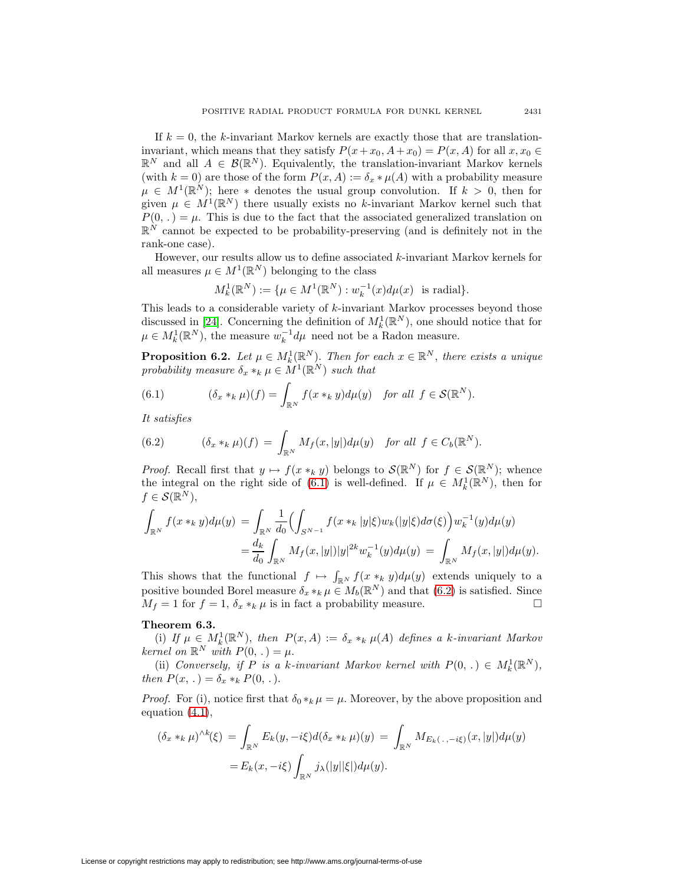If  $k = 0$ , the k-invariant Markov kernels are exactly those that are translationinvariant, which means that they satisfy  $P(x+x_0, A+x_0) = P(x, A)$  for all  $x, x_0 \in$  $\mathbb{R}^N$  and all  $A \in \mathcal{B}(\mathbb{R}^N)$ . Equivalently, the translation-invariant Markov kernels (with  $k = 0$ ) are those of the form  $P(x, A) := \delta_x * \mu(A)$  with a probability measure  $\mu \in M^1(\mathbb{R}^N)$ ; here \* denotes the usual group convolution. If  $k > 0$ , then for given  $\mu \in M^{1}(\mathbb{R}^{N})$  there usually exists no k-invariant Markov kernel such that  $P(0, .) = \mu$ . This is due to the fact that the associated generalized translation on  $\mathbb{R}^N$  cannot be expected to be probability-preserving (and is definitely not in the rank-one case).

However, our results allow us to define associated  $k$ -invariant Markov kernels for all measures  $\mu \in M^1(\mathbb{R}^N)$  belonging to the class

<span id="page-18-0"></span>
$$
M_k^1(\mathbb{R}^N) := \{ \mu \in M^1(\mathbb{R}^N) : w_k^{-1}(x) d\mu(x) \text{ is radial} \}.
$$

This leads to a considerable variety of k-invariant Markov processes beyond those discussed in [\[24\]](#page-24-9). Concerning the definition of  $M_k^1(\mathbb{R}^N)$ , one should notice that for  $\mu \in M_k^1(\mathbb{R}^N)$ , the measure  $w_k^{-1} d\mu$  need not be a Radon measure.

**Proposition 6.2.** Let  $\mu \in M_k^1(\mathbb{R}^N)$ . Then for each  $x \in \mathbb{R}^N$ , there exists a unique probability measure  $\delta_x *_k \mu \in M^1(\mathbb{R}^N)$  such that

(6.1) 
$$
(\delta_x *_k \mu)(f) = \int_{\mathbb{R}^N} f(x *_k y) d\mu(y) \text{ for all } f \in \mathcal{S}(\mathbb{R}^N).
$$

<span id="page-18-1"></span>It satisfies

(6.2) 
$$
(\delta_x *_k \mu)(f) = \int_{\mathbb{R}^N} M_f(x, |y|) d\mu(y) \text{ for all } f \in C_b(\mathbb{R}^N).
$$

*Proof.* Recall first that  $y \mapsto f(x *_k y)$  belongs to  $\mathcal{S}(\mathbb{R}^N)$  for  $f \in \mathcal{S}(\mathbb{R}^N)$ ; whence the integral on the right side of [\(6.1\)](#page-18-0) is well-defined. If  $\mu \in M_k^1(\mathbb{R}^N)$ , then for  $f \in \mathcal{S}(\mathbb{R}^N),$ 

$$
\int_{\mathbb{R}^N} f(x *_k y) d\mu(y) = \int_{\mathbb{R}^N} \frac{1}{d_0} \Big( \int_{S^{N-1}} f(x *_k |y| \xi) w_k(|y| \xi) d\sigma(\xi) \Big) w_k^{-1}(y) d\mu(y)
$$
  
= 
$$
\frac{d_k}{d_0} \int_{\mathbb{R}^N} M_f(x, |y|) |y|^{2k} w_k^{-1}(y) d\mu(y) = \int_{\mathbb{R}^N} M_f(x, |y|) d\mu(y).
$$

This shows that the functional  $f \mapsto \int_{\mathbb{R}^N} f(x *_{k} y) d\mu(y)$  extends uniquely to a positive bounded Borel measure  $\delta_x *_k \mu \in M_b(\mathbb{R}^N)$  and that  $(6.2)$  is satisfied. Since  $M_f = 1$  for  $f = 1$ ,  $\delta_x *_{k} \mu$  is in fact a probability measure.

# <span id="page-18-2"></span>**Theorem 6.3.**

(i) If  $\mu \in M_k^1(\mathbb{R}^N)$ , then  $P(x, A) := \delta_x *_{k} \mu(A)$  defines a k-invariant Markov kernel on  $\mathbb{R}^N$  with  $P(0, .) = \mu$ .

(ii) Conversely, if P is a k-invariant Markov kernel with  $P(0,.) \in M_k^1(\mathbb{R}^N)$ , then  $P(x, .) = \delta_x *_{k} P(0, .).$ 

*Proof.* For (i), notice first that  $\delta_0 *_{k} \mu = \mu$ . Moreover, by the above proposition and equation [\(4.1\)](#page-12-1),

$$
(\delta_x *_k \mu)^{\wedge k}(\xi) = \int_{\mathbb{R}^N} E_k(y, -i\xi) d(\delta_x *_k \mu)(y) = \int_{\mathbb{R}^N} M_{E_k(\cdot, -i\xi)}(x, |y|) d\mu(y)
$$
  
=  $E_k(x, -i\xi) \int_{\mathbb{R}^N} j_\lambda(|y| |\xi|) d\mu(y).$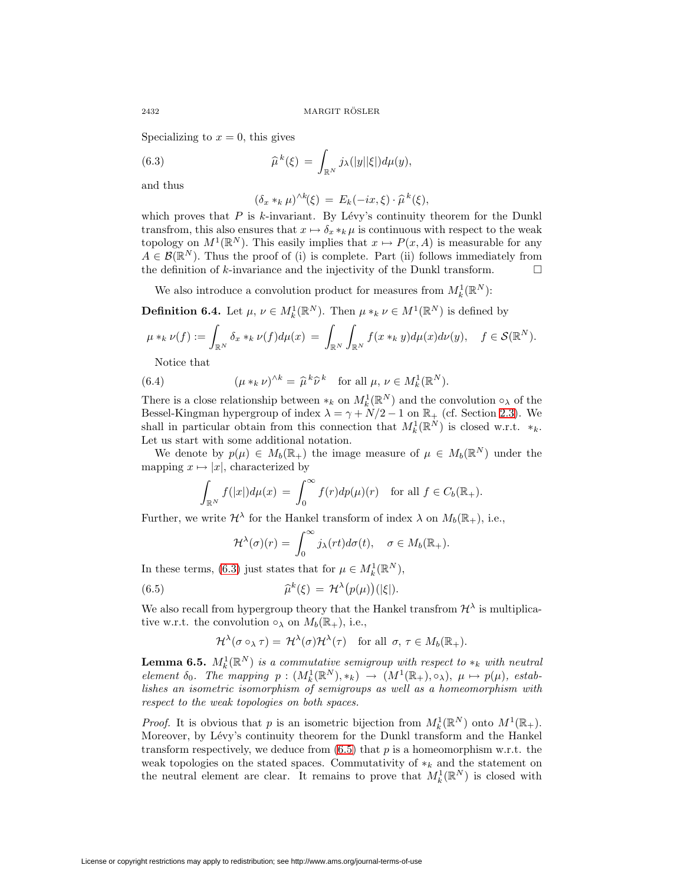Specializing to  $x = 0$ , this gives

(6.3) 
$$
\widehat{\mu}^k(\xi) = \int_{\mathbb{R}^N} j_{\lambda}(|y||\xi|) d\mu(y),
$$

and thus

<span id="page-19-0"></span>
$$
(\delta_x *_k \mu)^{\wedge k}(\xi) = E_k(-ix, \xi) \cdot \widehat{\mu}^k(\xi),
$$

which proves that  $P$  is  $k$ -invariant. By Lévy's continuity theorem for the Dunkl transfrom, this also ensures that  $x \mapsto \delta_x *_{k} \mu$  is continuous with respect to the weak topology on  $M^1(\mathbb{R}^N)$ . This easily implies that  $x \mapsto P(x, A)$  is measurable for any  $A \in \mathcal{B}(\mathbb{R}^N)$ . Thus the proof of (i) is complete. Part (ii) follows immediately from the definition of k-invariance and the injectivity of the Dunkl transform.  $\Box$ 

We also introduce a convolution product for measures from  $M_k^1(\mathbb{R}^N)$ :

**Definition 6.4.** Let 
$$
\mu, \nu \in M_k^1(\mathbb{R}^N)
$$
. Then  $\mu *_{k} \nu \in M^1(\mathbb{R}^N)$  is defined by  
\n
$$
\mu *_{k} \nu(f) := \int_{\mathbb{R}^N} \delta_x *_{k} \nu(f) d\mu(x) = \int_{\mathbb{R}^N} \int_{\mathbb{R}^N} f(x *_{k} y) d\mu(x) d\nu(y), \quad f \in \mathcal{S}(\mathbb{R}^N).
$$

Notice that

<span id="page-19-2"></span>(6.4) 
$$
(\mu *_{k} \nu)^{\wedge k} = \widehat{\mu}^{k} \widehat{\nu}^{k} \text{ for all } \mu, \nu \in M_{k}^{1}(\mathbb{R}^{N}).
$$

There is a close relationship between  $*_k$  on  $M_k^1(\mathbb{R}^N)$  and the convolution  $\circ_\lambda$  of the Bessel-Kingman hypergroup of index  $\lambda = \gamma + N/2 - 1$  on  $\mathbb{R}_+$  (cf. Section [2.3\)](#page-8-0). We shall in particular obtain from this connection that  $M_k^1(\mathbb{R}^N)$  is closed w.r.t.  $*_k$ . Let us start with some additional notation.

We denote by  $p(\mu) \in M_b(\mathbb{R}_+)$  the image measure of  $\mu \in M_b(\mathbb{R}^N)$  under the mapping  $x \mapsto |x|$ , characterized by

$$
\int_{\mathbb{R}^N} f(|x|) d\mu(x) = \int_0^\infty f(r) dp(\mu)(r) \quad \text{for all } f \in C_b(\mathbb{R}_+).
$$

Further, we write  $\mathcal{H}^{\lambda}$  for the Hankel transform of index  $\lambda$  on  $M_b(\mathbb{R}_+),$  i.e.,

<span id="page-19-1"></span>
$$
\mathcal{H}^{\lambda}(\sigma)(r) = \int_0^{\infty} j_{\lambda}(rt) d\sigma(t), \quad \sigma \in M_b(\mathbb{R}_+).
$$

In these terms, [\(6.3\)](#page-19-0) just states that for  $\mu \in M_k^1(\mathbb{R}^N)$ ,

(6.5) 
$$
\widehat{\mu}^k(\xi) = \mathcal{H}^{\lambda}(p(\mu))(|\xi|).
$$

We also recall from hypergroup theory that the Hankel transfrom  $\mathcal{H}^{\lambda}$  is multiplicative w.r.t. the convolution  $\circ_{\lambda}$  on  $M_b(\mathbb{R}_+),$  i.e.,

$$
\mathcal{H}^{\lambda}(\sigma \circ_{\lambda} \tau) = \mathcal{H}^{\lambda}(\sigma) \mathcal{H}^{\lambda}(\tau) \quad \text{for all} \ \sigma, \ \tau \in M_b(\mathbb{R}_+).
$$

<span id="page-19-3"></span>**Lemma 6.5.**  $M_k^1(\mathbb{R}^N)$  is a commutative semigroup with respect to  $*_k$  with neutral element  $\delta_0$ . The mapping  $p: (M_k^1(\mathbb{R}^N), *_k) \rightarrow (M^1(\mathbb{R}_+), \circ_\lambda), \mu \mapsto p(\mu),$  establishes an isometric isomorphism of semigroups as well as a homeomorphism with respect to the weak topologies on both spaces.

*Proof.* It is obvious that p is an isometric bijection from  $M_k^1(\mathbb{R}^N)$  onto  $M^1(\mathbb{R}_+)$ . Moreover, by Lévy's continuity theorem for the Dunkl transform and the Hankel transform respectively, we deduce from  $(6.5)$  that p is a homeomorphism w.r.t. the weak topologies on the stated spaces. Commutativity of  $*_k$  and the statement on the neutral element are clear. It remains to prove that  $M_k^1(\mathbb{R}^N)$  is closed with

License or copyright restrictions may apply to redistribution; see http://www.ams.org/journal-terms-of-use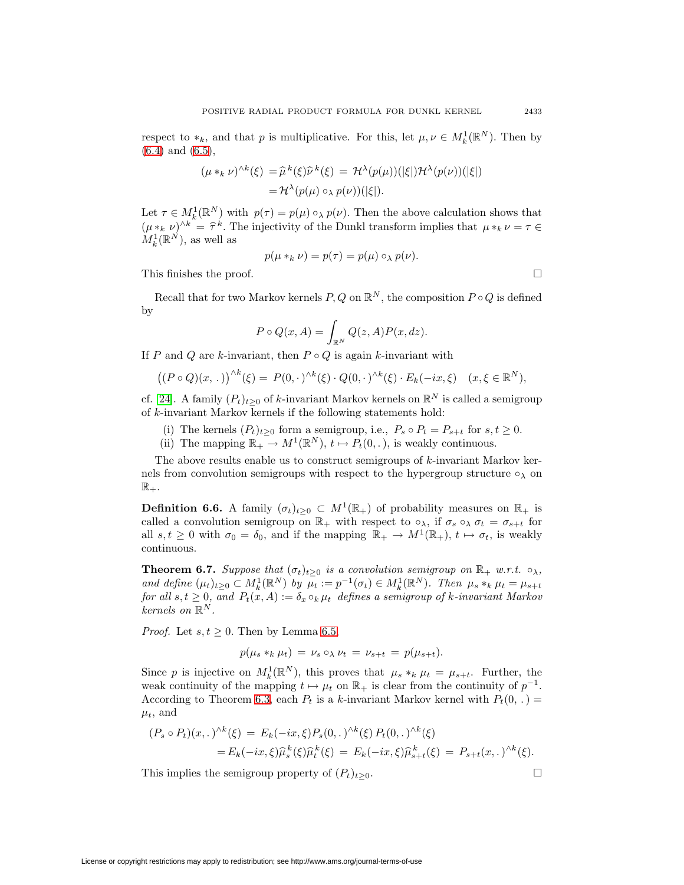respect to  $*_k$ , and that p is multiplicative. For this, let  $\mu, \nu \in M_k^1(\mathbb{R}^N)$ . Then by [\(6.4\)](#page-19-2) and [\(6.5\)](#page-19-1),

$$
(\mu *_{k} \nu)^{\wedge k}(\xi) = \widehat{\mu}^{k}(\xi)\widehat{\nu}^{k}(\xi) = \mathcal{H}^{\lambda}(p(\mu))(|\xi|)\mathcal{H}^{\lambda}(p(\nu))(|\xi|)
$$

$$
= \mathcal{H}^{\lambda}(p(\mu) \circ_{\lambda} p(\nu))(|\xi|).
$$

Let  $\tau \in M_k^1(\mathbb{R}^N)$  with  $p(\tau) = p(\mu) \circ_\lambda p(\nu)$ . Then the above calculation shows that  $(\mu *_k \nu)^{\wedge k} = \hat{\tau}^k$ . The injectivity of the Dunkl transform implies that  $\mu *_k \nu = \tau \in$  $M_k^1(\mathbb{R}^N)$ , as well as

$$
p(\mu *_{k} \nu) = p(\tau) = p(\mu) \circ_{\lambda} p(\nu).
$$

This finishes the proof.  $\Box$ 

Recall that for two Markov kernels  $P, Q$  on  $\mathbb{R}^N$ , the composition  $P \circ Q$  is defined by

$$
P \circ Q(x, A) = \int_{\mathbb{R}^N} Q(z, A) P(x, dz).
$$

If P and Q are k-invariant, then  $P \circ Q$  is again k-invariant with

$$
((P \circ Q)(x,.))^{\wedge k}(\xi) = P(0,.)^{\wedge k}(\xi) \cdot Q(0,.)^{\wedge k}(\xi) \cdot E_k(-ix,\xi) \quad (x,\xi \in \mathbb{R}^N),
$$

cf. [\[24\]](#page-24-9). A family  $(P_t)_{t\geq 0}$  of k-invariant Markov kernels on  $\mathbb{R}^N$  is called a semigroup of k-invariant Markov kernels if the following statements hold:

- (i) The kernels  $(P_t)_{t\geq 0}$  form a semigroup, i.e.,  $P_s \circ P_t = P_{s+t}$  for  $s, t \geq 0$ .
- (ii) The mapping  $\mathbb{R}_+ \to M^1(\mathbb{R}^N)$ ,  $t \mapsto P_t(0, .)$ , is weakly continuous.

The above results enable us to construct semigroups of  $k$ -invariant Markov kernels from convolution semigroups with respect to the hypergroup structure  $\circ_{\lambda}$  on  $\mathbb{R}_+$ .

**Definition 6.6.** A family  $(\sigma_t)_{t\geq 0} \subset M^1(\mathbb{R}_+)$  of probability measures on  $\mathbb{R}_+$  is called a convolution semigroup on  $\mathbb{R}_+$  with respect to  $\circ_\lambda$ , if  $\sigma_s \circ_\lambda \sigma_t = \sigma_{s+t}$  for all  $s, t \geq 0$  with  $\sigma_0 = \delta_0$ , and if the mapping  $\mathbb{R}_+ \to M^1(\mathbb{R}_+), t \mapsto \sigma_t$ , is weakly continuous.

<span id="page-20-1"></span>**Theorem 6.7.** Suppose that  $(\sigma_t)_{t>0}$  is a convolution semigroup on  $\mathbb{R}_+$  w.r.t.  $\circ_{\lambda}$ , and define  $(\mu_t)_{t\geq 0} \subset M_k^1(\mathbb{R}^N)$  by  $\mu_t := p^{-1}(\sigma_t) \in M_k^1(\mathbb{R}^N)$ . Then  $\mu_s *_k \mu_t = \mu_{s+t}$ for all  $s, t \geq 0$ , and  $P_t(x, A) := \delta_x \circ_k \mu_t$  defines a semigroup of k-invariant Markov kernels on  $\mathbb{R}^N$ .

*Proof.* Let  $s, t \geq 0$ . Then by Lemma [6.5,](#page-19-3)

$$
p(\mu_s *_k \mu_t) = \nu_s \circ_\lambda \nu_t = \nu_{s+t} = p(\mu_{s+t}).
$$

Since p is injective on  $M_k^1(\mathbb{R}^N)$ , this proves that  $\mu_s *_{k} \mu_t = \mu_{s+t}$ . Further, the weak continuity of the mapping  $t \mapsto \mu_t$  on  $\mathbb{R}_+$  is clear from the continuity of  $p^{-1}$ . According to Theorem [6.3,](#page-18-2) each  $P_t$  is a k-invariant Markov kernel with  $P_t(0, .) =$  $\mu_t$ , and

$$
(P_s \circ P_t)(x,.)^{\wedge k}(\xi) = E_k(-ix,\xi)P_s(0,.)^{\wedge k}(\xi)P_t(0,.)^{\wedge k}(\xi)
$$
  
=  $E_k(-ix,\xi)\hat{\mu}_s^k(\xi)\hat{\mu}_t^k(\xi) = E_k(-ix,\xi)\hat{\mu}_{s+t}^k(\xi) = P_{s+t}(x,.)^{\wedge k}(\xi).$ 

This implies the semigroup property of  $(P_t)_{t\geq 0}$ .

<span id="page-20-0"></span>License or copyright restrictions may apply to redistribution; see http://www.ams.org/journal-terms-of-use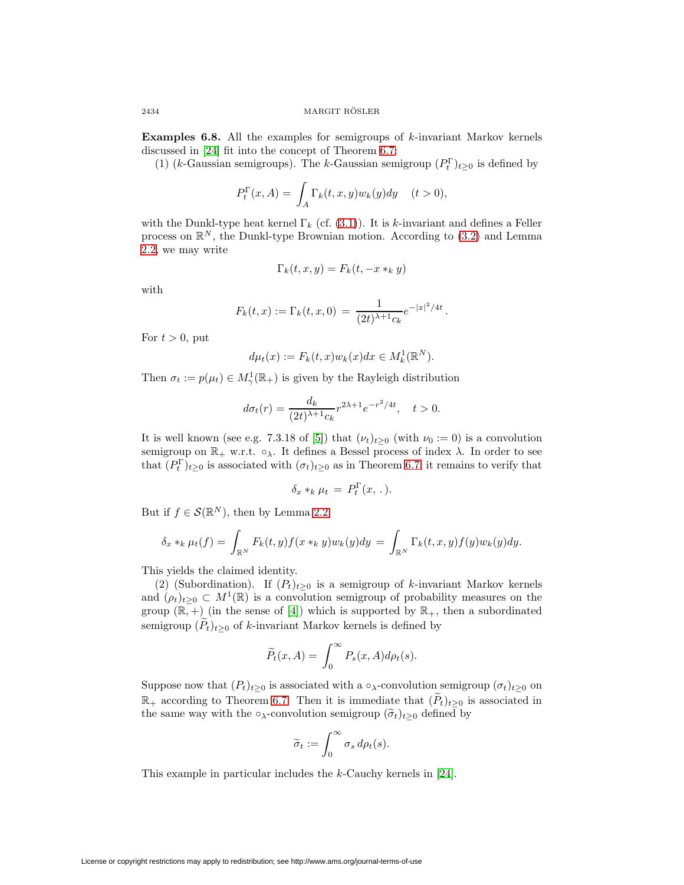**Examples 6.8.** All the examples for semigroups of k-invariant Markov kernels discussed in [\[24\]](#page-24-9) fit into the concept of Theorem [6.7:](#page-20-1)

(1) (*k*-Gaussian semigroups). The *k*-Gaussian semigroup  $(P_t^{\Gamma})_{t\geq0}$  is defined by

$$
P_t^{\Gamma}(x, A) = \int_A \Gamma_k(t, x, y) w_k(y) dy \quad (t > 0),
$$

with the Dunkl-type heat kernel  $\Gamma_k$  (cf. [\(3.1\)](#page-9-3)). It is k-invariant and defines a Feller process on  $\mathbb{R}^N$ , the Dunkl-type Brownian motion. According to [\(3.2\)](#page-9-1) and Lemma [2.2,](#page-5-1) we may write

$$
\Gamma_k(t, x, y) = F_k(t, -x *_k y)
$$

with

$$
F_k(t,x) := \Gamma_k(t,x,0) = \frac{1}{(2t)^{\lambda+1}c_k}e^{-|x|^2/4t}.
$$

For  $t > 0$ , put

$$
d\mu_t(x) := F_k(t, x)w_k(x)dx \in M_k^1(\mathbb{R}^N).
$$

Then  $\sigma_t := p(\mu_t) \in M_\gamma^1(\mathbb{R}_+)$  is given by the Rayleigh distribution

$$
d\sigma_t(r) = \frac{d_k}{(2t)^{\lambda+1}c_k}r^{2\lambda+1}e^{-r^2/4t}, \quad t > 0.
$$

It is well known (see e.g. 7.3.18 of [\[5\]](#page-24-5)) that  $(\nu_t)_{t>0}$  (with  $\nu_0 := 0$ ) is a convolution semigroup on  $\mathbb{R}_+$  w.r.t.  $\circ_{\lambda}$ . It defines a Bessel process of index  $\lambda$ . In order to see that  $(P_t^{\Gamma})_{t\geq 0}$  is associated with  $(\sigma_t)_{t\geq 0}$  as in Theorem [6.7,](#page-20-1) it remains to verify that

$$
\delta_x *_k \mu_t = P_t^{\Gamma}(x, .).
$$

But if  $f \in \mathcal{S}(\mathbb{R}^N)$ , then by Lemma [2.2,](#page-5-1)

$$
\delta_x *_k \mu_t(f) = \int_{\mathbb{R}^N} F_k(t,y)f(x *_k y)w_k(y)dy = \int_{\mathbb{R}^N} \Gamma_k(t,x,y)f(y)w_k(y)dy.
$$

This yields the claimed identity.

(2) (Subordination). If  $(P_t)_{t>0}$  is a semigroup of k-invariant Markov kernels and  $(\rho_t)_{t>0} \subset M^1(\mathbb{R})$  is a convolution semigroup of probability measures on the group  $(\mathbb{R}, +)$  (in the sense of [\[4\]](#page-24-22)) which is supported by  $\mathbb{R}_+$ , then a subordinated semigroup  $(P_t)_{t\geq0}$  of k-invariant Markov kernels is defined by

$$
\widetilde{P}_t(x,A) = \int_0^\infty P_s(x,A)d\rho_t(s).
$$

Suppose now that  $(P_t)_{t>0}$  is associated with a ∘<sub>λ</sub>-convolution semigroup  $(\sigma_t)_{t>0}$  on  $\mathbb{R}_+$  according to Theorem [6.7.](#page-20-1) Then it is immediate that  $(P_t)_{t>0}$  is associated in the same way with the ∘<sub>λ</sub>-convolution semigroup  $(\tilde{\sigma}_t)_{t>0}$  defined by

$$
\widetilde{\sigma}_t := \int_0^\infty \sigma_s \, d\rho_t(s).
$$

This example in particular includes the k-Cauchy kernels in [\[24\]](#page-24-9).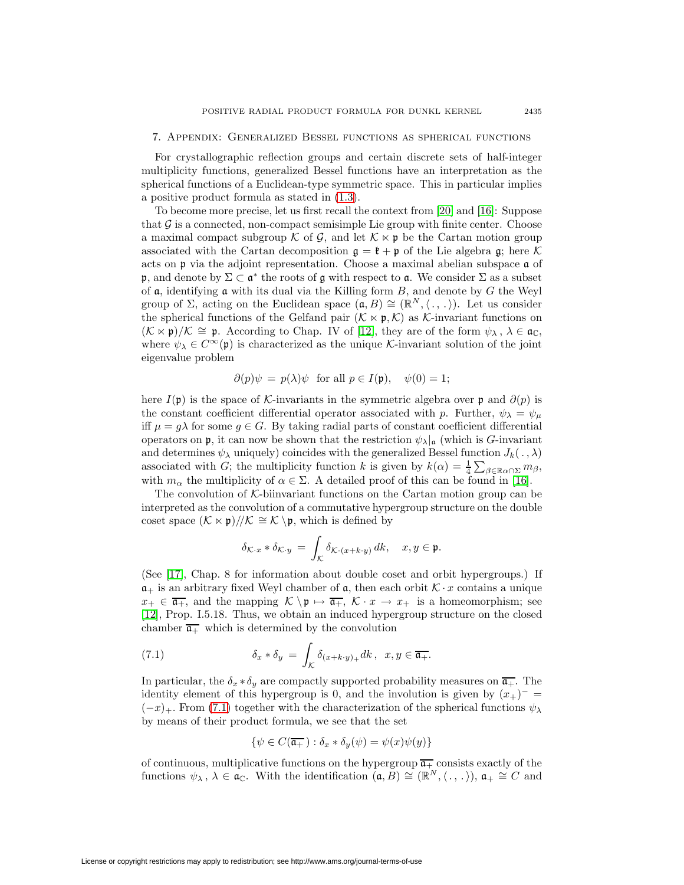<span id="page-22-0"></span>For crystallographic reflection groups and certain discrete sets of half-integer multiplicity functions, generalized Bessel functions have an interpretation as the spherical functions of a Euclidean-type symmetric space. This in particular implies a positive product formula as stated in [\(1.3\)](#page-1-0).

To become more precise, let us first recall the context from [\[20\]](#page-24-3) and [\[16\]](#page-24-14): Suppose that  $\mathcal G$  is a connected, non-compact semisimple Lie group with finite center. Choose a maximal compact subgroup K of G, and let  $\mathcal{K} \ltimes \mathfrak{p}$  be the Cartan motion group associated with the Cartan decomposition  $\mathfrak{g} = \mathfrak{k} + \mathfrak{p}$  of the Lie algebra g; here K acts on  $\mathfrak p$  via the adjoint representation. Choose a maximal abelian subspace  $\mathfrak a$  of p, and denote by  $\Sigma \subset \mathfrak{a}^*$  the roots of g with respect to  $\mathfrak{a}$ . We consider  $\Sigma$  as a subset of  $\alpha$ , identifying  $\alpha$  with its dual via the Killing form  $B$ , and denote by  $G$  the Weyl group of  $\Sigma$ , acting on the Euclidean space  $(a, B) \cong (\mathbb{R}^N, \langle \cdot, \cdot \rangle)$ . Let us consider the spherical functions of the Gelfand pair  $(K \ltimes \mathfrak{p}, \mathcal{K})$  as *K*-invariant functions on  $(\mathcal{K} \ltimes \mathfrak{p})/\mathcal{K} \cong \mathfrak{p}$ . According to Chap. IV of [\[12\]](#page-24-23), they are of the form  $\psi_{\lambda}$ ,  $\lambda \in \mathfrak{a}_{\mathbb{C}},$ where  $\psi_{\lambda} \in C^{\infty}(\mathfrak{p})$  is characterized as the unique K-invariant solution of the joint eigenvalue problem

$$
\partial(p)\psi = p(\lambda)\psi
$$
 for all  $p \in I(\mathfrak{p}), \psi(0) = 1;$ 

here  $I(\mathfrak{p})$  is the space of K-invariants in the symmetric algebra over  $\mathfrak{p}$  and  $\partial(p)$  is the constant coefficient differential operator associated with p. Further,  $\psi_{\lambda} = \psi_{\mu}$ iff  $\mu = g\lambda$  for some  $g \in G$ . By taking radial parts of constant coefficient differential operators on **p**, it can now be shown that the restriction  $\psi_{\lambda}$  (which is G-invariant and determines  $\psi_{\lambda}$  uniquely) coincides with the generalized Bessel function  $J_k(.,\lambda)$ associated with G; the multiplicity function k is given by  $k(\alpha) = \frac{1}{4} \sum_{\beta \in \mathbb{R}} \sum_{\alpha \cap \Sigma} m_{\beta}$ , with  $m_{\alpha}$  the multiplicity of  $\alpha \in \Sigma$ . A detailed proof of this can be found in [\[16\]](#page-24-14).

The convolution of  $K$ -biinvariant functions on the Cartan motion group can be interpreted as the convolution of a commutative hypergroup structure on the double coset space  $(\mathcal{K} \ltimes \mathfrak{p})/(\mathcal{K} \cong \mathcal{K} \setminus \mathfrak{p}$ , which is defined by

<span id="page-22-1"></span>
$$
\delta_{\mathcal{K}\cdot x} * \delta_{\mathcal{K}\cdot y} = \int_{\mathcal{K}} \delta_{\mathcal{K}\cdot (x+k\cdot y)} \, dk, \quad x, y \in \mathfrak{p}.
$$

(See [\[17\]](#page-24-6), Chap. 8 for information about double coset and orbit hypergroups.) If  $a_+$  is an arbitrary fixed Weyl chamber of a, then each orbit  $\mathcal{K} \cdot x$  contains a unique  $x_+ \in \overline{\mathfrak{a}_+}$ , and the mapping  $\mathcal{K} \backslash \mathfrak{p} \mapsto \overline{\mathfrak{a}_+}$ ,  $\mathcal{K} \cdot x \to x_+$  is a homeomorphism; see [\[12\]](#page-24-23), Prop. I.5.18. Thus, we obtain an induced hypergroup structure on the closed chamber  $\overline{\mathfrak{a}_+}$  which is determined by the convolution

(7.1) 
$$
\delta_x * \delta_y = \int_{\mathcal{K}} \delta_{(x+k\cdot y)_+} dk, \ x, y \in \overline{\mathfrak{a}_+}.
$$

In particular, the  $\delta_x * \delta_y$  are compactly supported probability measures on  $\overline{\mathfrak{a}_+}$ . The identity element of this hypergroup is 0, and the involution is given by  $(x_{+})^{-}$  =  $(-x)_+$ . From [\(7.1\)](#page-22-1) together with the characterization of the spherical functions  $\psi_\lambda$ by means of their product formula, we see that the set

$$
\{\psi \in C(\overline{\mathfrak{a}_+}) : \delta_x * \delta_y(\psi) = \psi(x)\psi(y)\}
$$

of continuous, multiplicative functions on the hypergroup  $\overline{\mathfrak{a}_+}$  consists exactly of the functions  $\psi_{\lambda}, \lambda \in \mathfrak{a}_{\mathbb{C}}$ . With the identification  $(\mathfrak{a}, B) \cong (\mathbb{R}^N, \langle \cdot, \cdot \rangle), \mathfrak{a}_+ \cong C$  and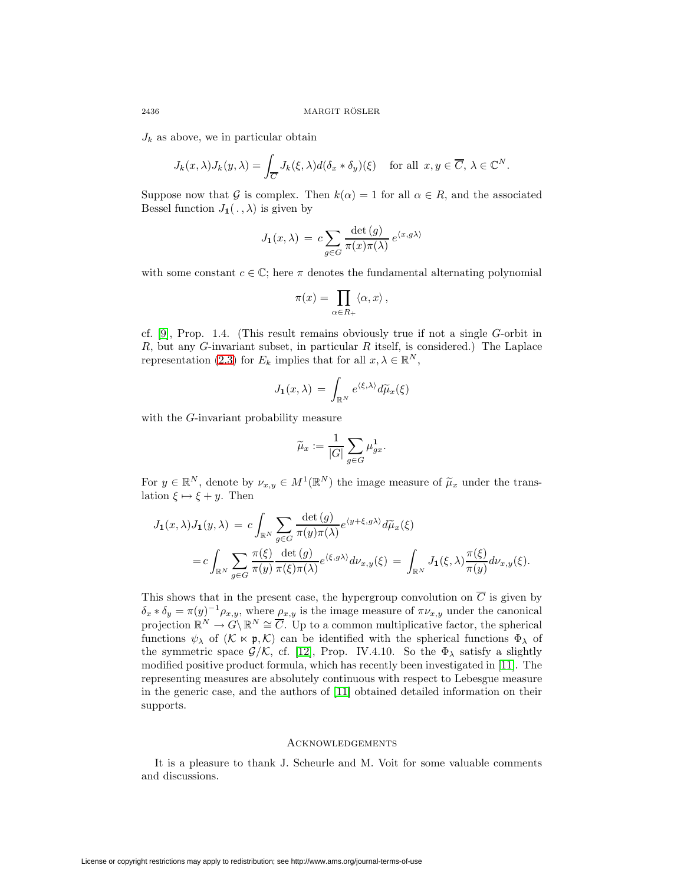$J_k$  as above, we in particular obtain

$$
J_k(x,\lambda)J_k(y,\lambda) = \int_{\overline{C}} J_k(\xi,\lambda)d(\delta_x * \delta_y)(\xi) \quad \text{ for all } x, y \in \overline{C}, \lambda \in \mathbb{C}^N.
$$

Suppose now that G is complex. Then  $k(\alpha) = 1$  for all  $\alpha \in R$ , and the associated Bessel function  $J_1(.,\lambda)$  is given by

$$
J_1(x,\lambda) = c \sum_{g \in G} \frac{\det(g)}{\pi(x)\pi(\lambda)} e^{\langle x,g \lambda \rangle}
$$

with some constant  $c \in \mathbb{C}$ ; here  $\pi$  denotes the fundamental alternating polynomial

$$
\pi(x) = \prod_{\alpha \in R_+} \langle \alpha, x \rangle \, ,
$$

cf.  $[9]$ , Prop. 1.4. (This result remains obviously true if not a single G-orbit in R, but any G-invariant subset, in particular  $R$  itself, is considered.) The Laplace representation [\(2.3\)](#page-4-1) for  $E_k$  implies that for all  $x, \lambda \in \mathbb{R}^N$ ,

$$
J_{\mathbf{1}}(x,\lambda) \,=\, \int_{\mathbb{R}^N} e^{\langle \xi,\lambda \rangle} d\widetilde{\mu}_x(\xi)
$$

with the G-invariant probability measure

$$
\widetilde{\mu}_x := \frac{1}{|G|} \sum_{g \in G} \mu_{gx}^{\mathbf{1}}.
$$

For  $y \in \mathbb{R}^N$ , denote by  $\nu_{x,y} \in M^1(\mathbb{R}^N)$  the image measure of  $\tilde{\mu}_x$  under the translation  $\xi \mapsto \xi + y$ . Then

$$
J_{\mathbf{1}}(x,\lambda)J_{\mathbf{1}}(y,\lambda) = c \int_{\mathbb{R}^N} \sum_{g \in G} \frac{\det(g)}{\pi(y)\pi(\lambda)} e^{\langle y+\xi,g\rangle} d\widetilde{\mu}_x(\xi)
$$
  
= 
$$
c \int_{\mathbb{R}^N} \sum_{g \in G} \frac{\pi(\xi)}{\pi(y)} \frac{\det(g)}{\pi(\xi)\pi(\lambda)} e^{\langle \xi,g\rangle} d\nu_{x,y}(\xi) = \int_{\mathbb{R}^N} J_{\mathbf{1}}(\xi,\lambda) \frac{\pi(\xi)}{\pi(y)} d\nu_{x,y}(\xi).
$$

This shows that in the present case, the hypergroup convolution on  $\overline{C}$  is given by  $\delta_x * \delta_y = \pi(y)^{-1} \rho_{x,y}$ , where  $\rho_{x,y}$  is the image measure of  $\pi \nu_{x,y}$  under the canonical projection  $\mathbb{R}^N \to \tilde{G} \backslash \mathbb{R}^N \cong \overline{C}$ . Up to a common multiplicative factor, the spherical functions  $\psi_{\lambda}$  of  $(\mathcal{K} \ltimes \mathfrak{p}, \mathcal{K})$  can be identified with the spherical functions  $\Phi_{\lambda}$  of the symmetric space  $\mathcal{G}/\mathcal{K}$ , cf. [\[12\]](#page-24-23), Prop. IV.4.10. So the  $\Phi_{\lambda}$  satisfy a slightly modified positive product formula, which has recently been investigated in [\[11\]](#page-24-24). The representing measures are absolutely continuous with respect to Lebesgue measure in the generic case, and the authors of [\[11\]](#page-24-24) obtained detailed information on their supports.

#### **ACKNOWLEDGEMENTS**

It is a pleasure to thank J. Scheurle and M. Voit for some valuable comments and discussions.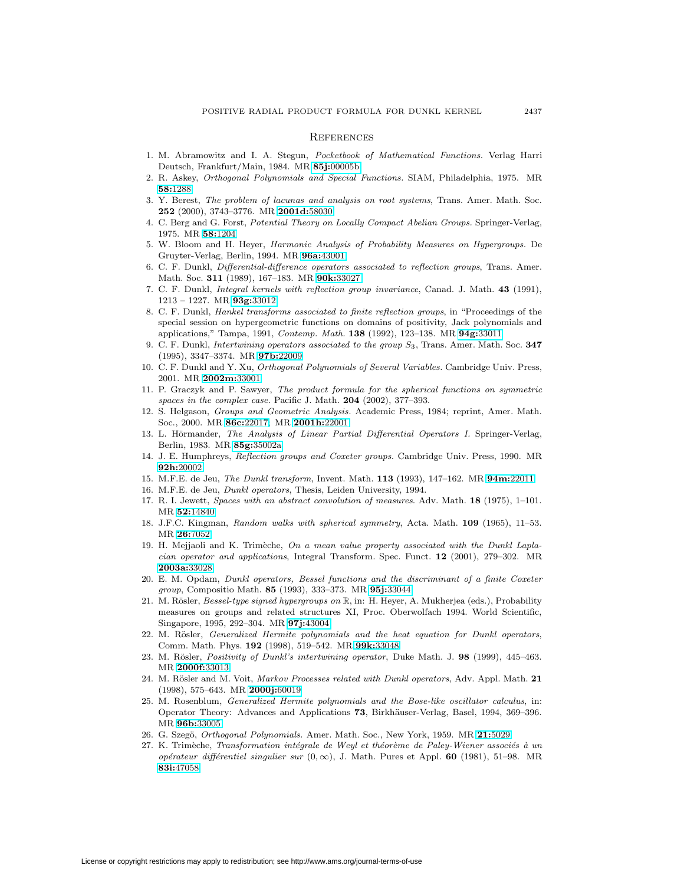#### **REFERENCES**

- <span id="page-24-18"></span>1. M. Abramowitz and I. A. Stegun, Pocketbook of Mathematical Functions. Verlag Harri Deutsch, Frankfurt/Main, 1984. MR **85j:**[00005b](http://www.ams.org/mathscinet-getitem?mr=85j:00005b)
- <span id="page-24-19"></span><span id="page-24-17"></span>2. R. Askey, Orthogonal Polynomials and Special Functions. SIAM, Philadelphia, 1975. MR **58:**[1288](http://www.ams.org/mathscinet-getitem?mr=58:1288)
- 3. Y. Berest, The problem of lacunas and analysis on root systems, Trans. Amer. Math. Soc. **252** (2000), 3743–3776. MR **[2001d:](http://www.ams.org/mathscinet-getitem?mr=2001d:58030)**58030
- <span id="page-24-22"></span><span id="page-24-5"></span>4. C. Berg and G. Forst, Potential Theory on Locally Compact Abelian Groups. Springer-Verlag, 1975. MR **58:**[1204](http://www.ams.org/mathscinet-getitem?mr=58:1204)
- 5. W. Bloom and H. Heyer, Harmonic Analysis of Probability Measures on Hypergroups. De Gruyter-Verlag, Berlin, 1994. MR **96a:**[43001](http://www.ams.org/mathscinet-getitem?mr=96a:43001)
- <span id="page-24-0"></span>6. C. F. Dunkl, Differential-difference operators associated to reflection groups, Trans. Amer. Math. Soc. **311** (1989), 167–183. MR **90k:**[33027](http://www.ams.org/mathscinet-getitem?mr=90k:33027)
- <span id="page-24-1"></span>7. C. F. Dunkl, Integral kernels with reflection group invariance, Canad. J. Math. **43** (1991), 1213 – 1227. MR **93g:**[33012](http://www.ams.org/mathscinet-getitem?mr=93g:33012)
- <span id="page-24-2"></span>8. C. F. Dunkl, Hankel transforms associated to finite reflection groups, in "Proceedings of the special session on hypergeometric functions on domains of positivity, Jack polynomials and applications," Tampa, 1991, Contemp. Math. **138** (1992), 123–138. MR **94g:**[33011](http://www.ams.org/mathscinet-getitem?mr=94g:33011)
- <span id="page-24-4"></span>9. C. F. Dunkl, Intertwining operators associated to the group S3, Trans. Amer. Math. Soc. **347** (1995), 3347–3374. MR **97b:**[22009](http://www.ams.org/mathscinet-getitem?mr=97b:22009)
- <span id="page-24-24"></span><span id="page-24-12"></span>10. C. F. Dunkl and Y. Xu, Orthogonal Polynomials of Several Variables. Cambridge Univ. Press, 2001. MR **[2002m:](http://www.ams.org/mathscinet-getitem?mr=2002m:33001)**33001
- 11. P. Graczyk and P. Sawyer, The product formula for the spherical functions on symmetric spaces in the complex case. Pacific J. Math. **204** (2002), 377–393.
- <span id="page-24-23"></span>12. S. Helgason, Groups and Geometric Analysis. Academic Press, 1984; reprint, Amer. Math. Soc., 2000. MR **86c:**[22017;](http://www.ams.org/mathscinet-getitem?mr=86c:22017) MR **[2001h:](http://www.ams.org/mathscinet-getitem?mr=2001h:22001)**22001
- <span id="page-24-21"></span>13. L. Hörmander, The Analysis of Linear Partial Differential Operators I. Springer-Verlag, Berlin, 1983. MR **85g:**[35002a](http://www.ams.org/mathscinet-getitem?mr=85g:35002a)
- <span id="page-24-13"></span><span id="page-24-10"></span>14. J. E. Humphreys, Reflection groups and Coxeter groups. Cambridge Univ. Press, 1990. MR **92h:**[20002](http://www.ams.org/mathscinet-getitem?mr=92h:20002)
- <span id="page-24-14"></span>15. M.F.E. de Jeu, The Dunkl transform, Invent. Math. **113** (1993), 147–162. MR **94m:**[22011](http://www.ams.org/mathscinet-getitem?mr=94m:22011)
- <span id="page-24-6"></span>16. M.F.E. de Jeu, Dunkl operators, Thesis, Leiden University, 1994.
- 17. R. I. Jewett, Spaces with an abstract convolution of measures. Adv. Math. **18** (1975), 1–101. MR **52:**[14840](http://www.ams.org/mathscinet-getitem?mr=52:14840)
- 18. J.F.C. Kingman, Random walks with spherical symmetry, Acta. Math. **109** (1965), 11–53. MR **26:**[7052](http://www.ams.org/mathscinet-getitem?mr=26:7052)
- <span id="page-24-8"></span>19. H. Mejjaoli and K. Trimèche, On a mean value property associated with the Dunkl Laplacian operator and applications, Integral Transform. Spec. Funct. **12** (2001), 279–302. MR **[2003a:](http://www.ams.org/mathscinet-getitem?mr=2003a:33028)**33028
- <span id="page-24-3"></span>20. E. M. Opdam, Dunkl operators, Bessel functions and the discriminant of a finite Coxeter group, Compositio Math. **85** (1993), 333–373. MR **95j:**[33044](http://www.ams.org/mathscinet-getitem?mr=95j:33044)
- <span id="page-24-7"></span>21. M. Rösler, Bessel-type signed hypergroups on R, in: H. Heyer, A. Mukherjea (eds.), Probability measures on groups and related structures XI, Proc. Oberwolfach 1994. World Scientific, Singapore, 1995, 292–304. MR **97j:**[43004](http://www.ams.org/mathscinet-getitem?mr=97j:43004)
- <span id="page-24-15"></span>22. M. Rösler, Generalized Hermite polynomials and the heat equation for Dunkl operators, Comm. Math. Phys. **192** (1998), 519–542. MR **99k:**[33048](http://www.ams.org/mathscinet-getitem?mr=99k:33048)
- <span id="page-24-11"></span>23. M. Rösler, Positivity of Dunkl's intertwining operator, Duke Math. J. 98 (1999), 445–463. MR **[2000f:](http://www.ams.org/mathscinet-getitem?mr=2000f:33013)**33013
- <span id="page-24-9"></span>24. M. Rösler and M. Voit, *Markov Processes related with Dunkl operators*, Adv. Appl. Math. 21 (1998), 575–643. MR **[2000j:](http://www.ams.org/mathscinet-getitem?mr=2000j:60019)**60019
- <span id="page-24-16"></span>25. M. Rosenblum, Generalized Hermite polynomials and the Bose-like oscillator calculus, in: Operator Theory: Advances and Applications 73, Birkhäuser-Verlag, Basel, 1994, 369–396. MR **96b:**[33005](http://www.ams.org/mathscinet-getitem?mr=96b:33005)
- <span id="page-24-20"></span>26. G. Szegö, *Orthogonal Polynomials.* Amer. Math. Soc., New York, 1959. MR 21:[5029](http://www.ams.org/mathscinet-getitem?mr=21:5029)
- 27. K. Trimèche, Transformation intégrale de Weyl et théorème de Paley-Wiener associés à un opérateur différentiel singulier sur  $(0, \infty)$ , J. Math. Pures et Appl. **60** (1981), 51–98. MR **83i:**[47058](http://www.ams.org/mathscinet-getitem?mr=83i:47058)